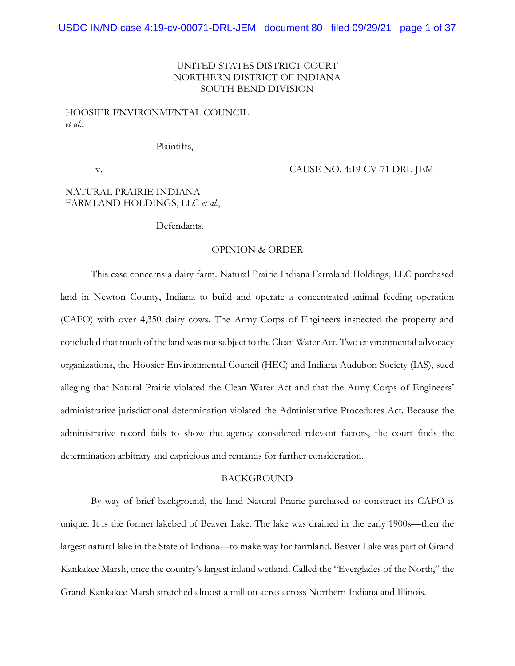## UNITED STATES DISTRICT COURT NORTHERN DISTRICT OF INDIANA SOUTH BEND DIVISION

HOOSIER ENVIRONMENTAL COUNCIL *et al.*,

Plaintiffs,

v. CAUSE NO. 4:19-CV-71 DRL-JEM

# NATURAL PRAIRIE INDIANA FARMLAND HOLDINGS, LLC *et al.*,

Defendants.

#### OPINION & ORDER

 This case concerns a dairy farm. Natural Prairie Indiana Farmland Holdings, LLC purchased land in Newton County, Indiana to build and operate a concentrated animal feeding operation (CAFO) with over 4,350 dairy cows. The Army Corps of Engineers inspected the property and concluded that much of the land was not subject to the Clean Water Act. Two environmental advocacy organizations, the Hoosier Environmental Council (HEC) and Indiana Audubon Society (IAS), sued alleging that Natural Prairie violated the Clean Water Act and that the Army Corps of Engineers' administrative jurisdictional determination violated the Administrative Procedures Act. Because the administrative record fails to show the agency considered relevant factors, the court finds the determination arbitrary and capricious and remands for further consideration.

### **BACKGROUND**

By way of brief background, the land Natural Prairie purchased to construct its CAFO is unique. It is the former lakebed of Beaver Lake. The lake was drained in the early 1900s—then the largest natural lake in the State of Indiana—to make way for farmland. Beaver Lake was part of Grand Kankakee Marsh, once the country's largest inland wetland. Called the "Everglades of the North," the Grand Kankakee Marsh stretched almost a million acres across Northern Indiana and Illinois.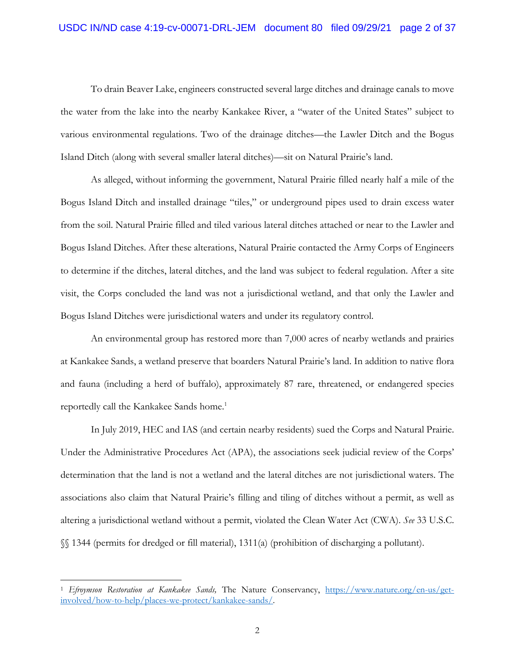To drain Beaver Lake, engineers constructed several large ditches and drainage canals to move the water from the lake into the nearby Kankakee River, a "water of the United States" subject to various environmental regulations. Two of the drainage ditches—the Lawler Ditch and the Bogus Island Ditch (along with several smaller lateral ditches)—sit on Natural Prairie's land.

As alleged, without informing the government, Natural Prairie filled nearly half a mile of the Bogus Island Ditch and installed drainage "tiles," or underground pipes used to drain excess water from the soil. Natural Prairie filled and tiled various lateral ditches attached or near to the Lawler and Bogus Island Ditches. After these alterations, Natural Prairie contacted the Army Corps of Engineers to determine if the ditches, lateral ditches, and the land was subject to federal regulation. After a site visit, the Corps concluded the land was not a jurisdictional wetland, and that only the Lawler and Bogus Island Ditches were jurisdictional waters and under its regulatory control.

An environmental group has restored more than 7,000 acres of nearby wetlands and prairies at Kankakee Sands, a wetland preserve that boarders Natural Prairie's land. In addition to native flora and fauna (including a herd of buffalo), approximately 87 rare, threatened, or endangered species reportedly call the Kankakee Sands home.<sup>1</sup>

In July 2019, HEC and IAS (and certain nearby residents) sued the Corps and Natural Prairie. Under the Administrative Procedures Act (APA), the associations seek judicial review of the Corps' determination that the land is not a wetland and the lateral ditches are not jurisdictional waters. The associations also claim that Natural Prairie's filling and tiling of ditches without a permit, as well as altering a jurisdictional wetland without a permit, violated the Clean Water Act (CWA). *See* 33 U.S.C. §§ 1344 (permits for dredged or fill material), 1311(a) (prohibition of discharging a pollutant).

<sup>1</sup> *Efroymson Restoration at Kankakee Sands,* The Nature Conservancy, https://www.nature.org/en-us/getinvolved/how-to-help/places-we-protect/kankakee-sands/.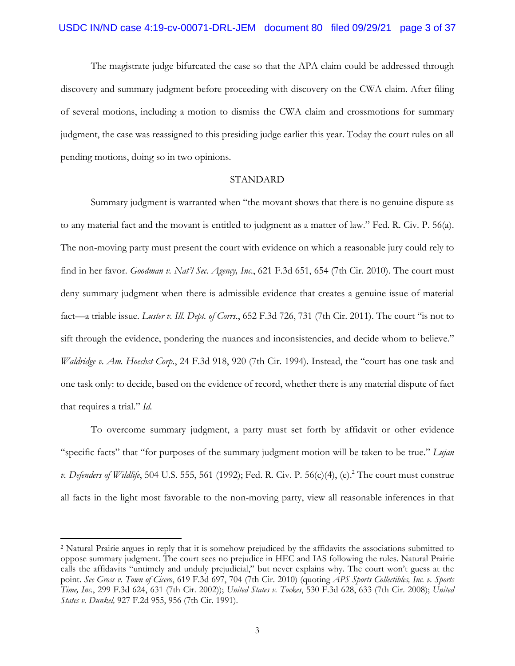The magistrate judge bifurcated the case so that the APA claim could be addressed through discovery and summary judgment before proceeding with discovery on the CWA claim. After filing of several motions, including a motion to dismiss the CWA claim and crossmotions for summary judgment, the case was reassigned to this presiding judge earlier this year. Today the court rules on all pending motions, doing so in two opinions.

### STANDARD

Summary judgment is warranted when "the movant shows that there is no genuine dispute as to any material fact and the movant is entitled to judgment as a matter of law." Fed. R. Civ. P. 56(a). The non-moving party must present the court with evidence on which a reasonable jury could rely to find in her favor. *Goodman v. Nat'l Sec. Agency, Inc*., 621 F.3d 651, 654 (7th Cir. 2010). The court must deny summary judgment when there is admissible evidence that creates a genuine issue of material fact—a triable issue. *Luster v. Ill. Dept. of Corrs.*, 652 F.3d 726, 731 (7th Cir. 2011). The court "is not to sift through the evidence, pondering the nuances and inconsistencies, and decide whom to believe." *Waldridge v. Am. Hoechst Corp.*, 24 F.3d 918, 920 (7th Cir. 1994). Instead, the "court has one task and one task only: to decide, based on the evidence of record, whether there is any material dispute of fact that requires a trial." *Id.*

To overcome summary judgment, a party must set forth by affidavit or other evidence "specific facts" that "for purposes of the summary judgment motion will be taken to be true." *Lujan v. Defenders of Wildlife*, 504 U.S. 555, 561 (1992); Fed. R. Civ. P. 56(c)(4), (e).<sup>2</sup> The court must construe all facts in the light most favorable to the non-moving party, view all reasonable inferences in that

<sup>2</sup> Natural Prairie argues in reply that it is somehow prejudiced by the affidavits the associations submitted to oppose summary judgment. The court sees no prejudice in HEC and IAS following the rules. Natural Prairie calls the affidavits "untimely and unduly prejudicial," but never explains why. The court won't guess at the point. *See Gross v. Town of Cicero*, 619 F.3d 697, 704 (7th Cir. 2010) (quoting *APS Sports Collectibles, Inc. v. Sports Time, Inc.*, 299 F.3d 624, 631 (7th Cir. 2002)); *United States v. Tockes*, 530 F.3d 628, 633 (7th Cir. 2008); *United States v. Dunkel,* 927 F.2d 955, 956 (7th Cir. 1991).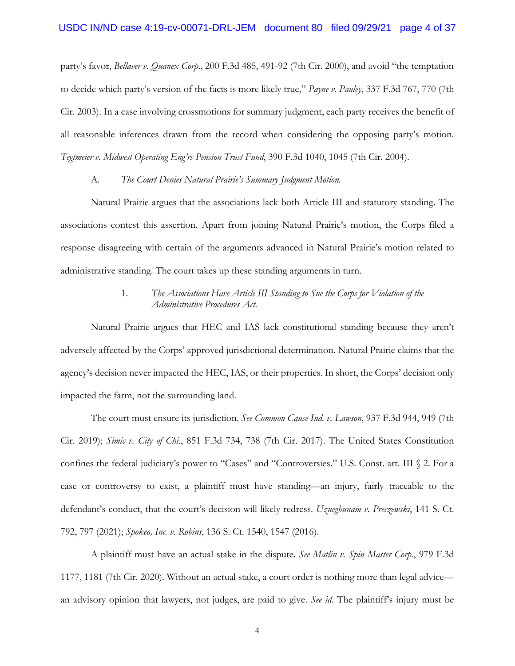party's favor, *Bellaver v. Quanex Corp*., 200 F.3d 485, 491-92 (7th Cir. 2000), and avoid "the temptation to decide which party's version of the facts is more likely true," *Payne v. Pauley*, 337 F.3d 767, 770 (7th Cir. 2003). In a case involving crossmotions for summary judgment, each party receives the benefit of all reasonable inferences drawn from the record when considering the opposing party's motion. *Tegtmeier v. Midwest Operating Eng'rs Pension Trust Fund*, 390 F.3d 1040, 1045 (7th Cir. 2004).

#### A. *The Court Denies Natural Prairie's Summary Judgment Motion.*

Natural Prairie argues that the associations lack both Article III and statutory standing. The associations contest this assertion. Apart from joining Natural Prairie's motion, the Corps filed a response disagreeing with certain of the arguments advanced in Natural Prairie's motion related to administrative standing. The court takes up these standing arguments in turn.

# 1. *The Associations Have Article III Standing to Sue the Corps for Violation of the Administrative Procedures Act.*

Natural Prairie argues that HEC and IAS lack constitutional standing because they aren't adversely affected by the Corps' approved jurisdictional determination. Natural Prairie claims that the agency's decision never impacted the HEC, IAS, or their properties. In short, the Corps' decision only impacted the farm, not the surrounding land.

The court must ensure its jurisdiction. *See Common Cause Ind. v. Lawson*, 937 F.3d 944, 949 (7th Cir. 2019); *Simic v. City of Chi.*, 851 F.3d 734, 738 (7th Cir. 2017). The United States Constitution confines the federal judiciary's power to "Cases" and "Controversies." U.S. Const. art. III § 2. For a case or controversy to exist, a plaintiff must have standing—an injury, fairly traceable to the defendant's conduct, that the court's decision will likely redress. *Uzuegbunam v. Preczewski*, 141 S. Ct. 792, 797 (2021); *Spokeo, Inc. v. Robins*, 136 S. Ct. 1540, 1547 (2016).

A plaintiff must have an actual stake in the dispute. *See Matlin v. Spin Master Corp.*, 979 F.3d 1177, 1181 (7th Cir. 2020). Without an actual stake, a court order is nothing more than legal advice an advisory opinion that lawyers, not judges, are paid to give. *See id.* The plaintiff's injury must be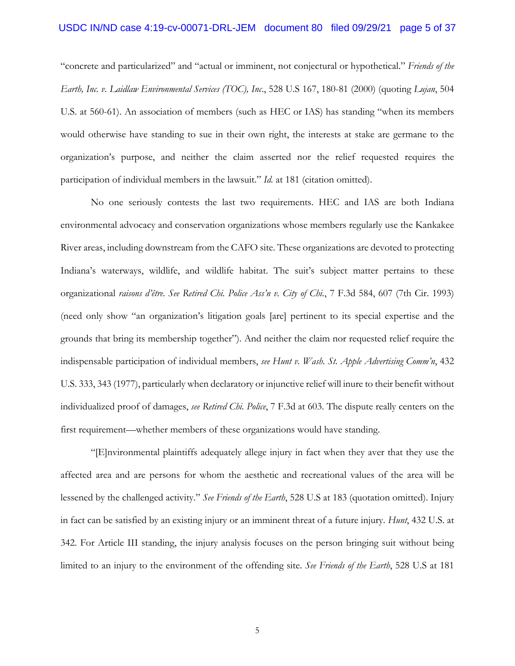## USDC IN/ND case 4:19-cv-00071-DRL-JEM document 80 filed 09/29/21 page 5 of 37

"concrete and particularized" and "actual or imminent, not conjectural or hypothetical." *Friends of the Earth, Inc. v. Laidlaw Environmental Services (TOC), Inc*., 528 U.S 167, 180-81 (2000) (quoting *Lujan*, 504 U.S. at 560-61). An association of members (such as HEC or IAS) has standing "when its members would otherwise have standing to sue in their own right, the interests at stake are germane to the organization's purpose, and neither the claim asserted nor the relief requested requires the participation of individual members in the lawsuit." *Id.* at 181 (citation omitted).

No one seriously contests the last two requirements. HEC and IAS are both Indiana environmental advocacy and conservation organizations whose members regularly use the Kankakee River areas, including downstream from the CAFO site. These organizations are devoted to protecting Indiana's waterways, wildlife, and wildlife habitat. The suit's subject matter pertains to these organizational *raisons d'être*. *See Retired Chi. Police Ass'n v. City of Chi.*, 7 F.3d 584, 607 (7th Cir. 1993) (need only show "an organization's litigation goals [are] pertinent to its special expertise and the grounds that bring its membership together"). And neither the claim nor requested relief require the indispensable participation of individual members, *see Hunt v. Wash. St. Apple Advertising Comm'n*, 432 U.S. 333, 343 (1977), particularly when declaratory or injunctive relief will inure to their benefit without individualized proof of damages, *see Retired Chi. Police*, 7 F.3d at 603. The dispute really centers on the first requirement—whether members of these organizations would have standing.

"[E]nvironmental plaintiffs adequately allege injury in fact when they aver that they use the affected area and are persons for whom the aesthetic and recreational values of the area will be lessened by the challenged activity." *See Friends of the Earth*, 528 U.S at 183 (quotation omitted). Injury in fact can be satisfied by an existing injury or an imminent threat of a future injury. *Hunt*, 432 U.S. at 342. For Article III standing, the injury analysis focuses on the person bringing suit without being limited to an injury to the environment of the offending site. *See Friends of the Earth*, 528 U.S at 181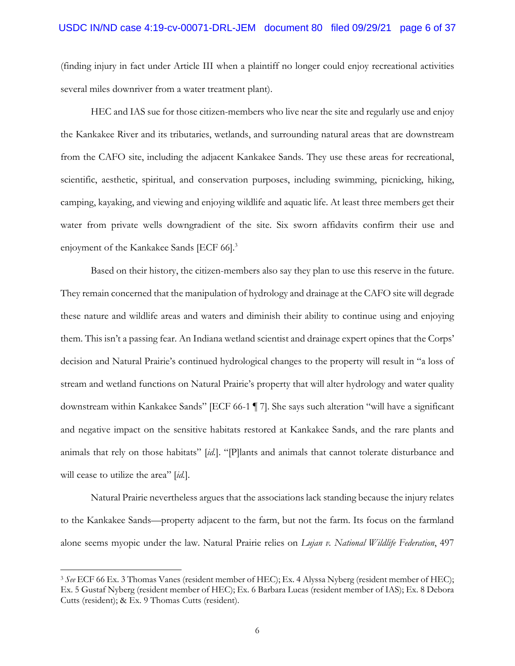### USDC IN/ND case 4:19-cv-00071-DRL-JEM document 80 filed 09/29/21 page 6 of 37

(finding injury in fact under Article III when a plaintiff no longer could enjoy recreational activities several miles downriver from a water treatment plant).

HEC and IAS sue for those citizen-members who live near the site and regularly use and enjoy the Kankakee River and its tributaries, wetlands, and surrounding natural areas that are downstream from the CAFO site, including the adjacent Kankakee Sands. They use these areas for recreational, scientific, aesthetic, spiritual, and conservation purposes, including swimming, picnicking, hiking, camping, kayaking, and viewing and enjoying wildlife and aquatic life. At least three members get their water from private wells downgradient of the site. Six sworn affidavits confirm their use and enjoyment of the Kankakee Sands [ECF 66].<sup>3</sup>

Based on their history, the citizen-members also say they plan to use this reserve in the future. They remain concerned that the manipulation of hydrology and drainage at the CAFO site will degrade these nature and wildlife areas and waters and diminish their ability to continue using and enjoying them. This isn't a passing fear. An Indiana wetland scientist and drainage expert opines that the Corps' decision and Natural Prairie's continued hydrological changes to the property will result in "a loss of stream and wetland functions on Natural Prairie's property that will alter hydrology and water quality downstream within Kankakee Sands" [ECF 66-1 ¶ 7]. She says such alteration "will have a significant and negative impact on the sensitive habitats restored at Kankakee Sands, and the rare plants and animals that rely on those habitats" [*id.*]. "[P]lants and animals that cannot tolerate disturbance and will cease to utilize the area" [*id.*].

Natural Prairie nevertheless argues that the associations lack standing because the injury relates to the Kankakee Sands—property adjacent to the farm, but not the farm. Its focus on the farmland alone seems myopic under the law. Natural Prairie relies on *Lujan v. National Wildlife Federation*, 497

<sup>3</sup> *See* ECF 66 Ex. 3 Thomas Vanes (resident member of HEC); Ex. 4 Alyssa Nyberg (resident member of HEC); Ex. 5 Gustaf Nyberg (resident member of HEC); Ex. 6 Barbara Lucas (resident member of IAS); Ex. 8 Debora Cutts (resident); & Ex. 9 Thomas Cutts (resident).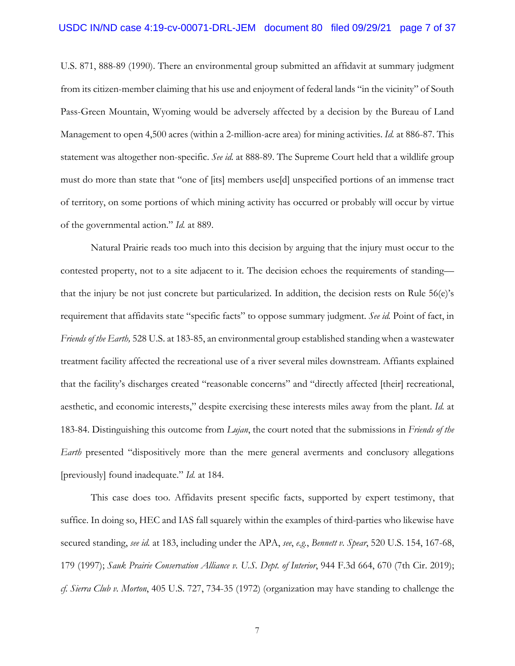U.S. 871, 888-89 (1990). There an environmental group submitted an affidavit at summary judgment from its citizen-member claiming that his use and enjoyment of federal lands "in the vicinity" of South Pass-Green Mountain, Wyoming would be adversely affected by a decision by the Bureau of Land Management to open 4,500 acres (within a 2-million-acre area) for mining activities. *Id.* at 886-87. This statement was altogether non-specific. *See id.* at 888-89. The Supreme Court held that a wildlife group must do more than state that "one of [its] members use[d] unspecified portions of an immense tract of territory, on some portions of which mining activity has occurred or probably will occur by virtue of the governmental action." *Id.* at 889.

Natural Prairie reads too much into this decision by arguing that the injury must occur to the contested property, not to a site adjacent to it. The decision echoes the requirements of standing that the injury be not just concrete but particularized. In addition, the decision rests on Rule 56(e)'s requirement that affidavits state "specific facts" to oppose summary judgment. *See id.* Point of fact, in *Friends of the Earth,* 528 U.S. at 183-85, an environmental group established standing when a wastewater treatment facility affected the recreational use of a river several miles downstream. Affiants explained that the facility's discharges created "reasonable concerns" and "directly affected [their] recreational, aesthetic, and economic interests," despite exercising these interests miles away from the plant. *Id.* at 183-84. Distinguishing this outcome from *Lujan*, the court noted that the submissions in *Friends of the Earth* presented "dispositively more than the mere general averments and conclusory allegations [previously] found inadequate." *Id.* at 184.

This case does too. Affidavits present specific facts, supported by expert testimony, that suffice. In doing so, HEC and IAS fall squarely within the examples of third-parties who likewise have secured standing, *see id.* at 183, including under the APA, *see*, *e.g.*, *Bennett v. Spear*, 520 U.S. 154, 167-68, 179 (1997); *Sauk Prairie Conservation Alliance v. U.S. Dept. of Interior*, 944 F.3d 664, 670 (7th Cir. 2019); *cf. Sierra Club v. Morton*, 405 U.S. 727, 734-35 (1972) (organization may have standing to challenge the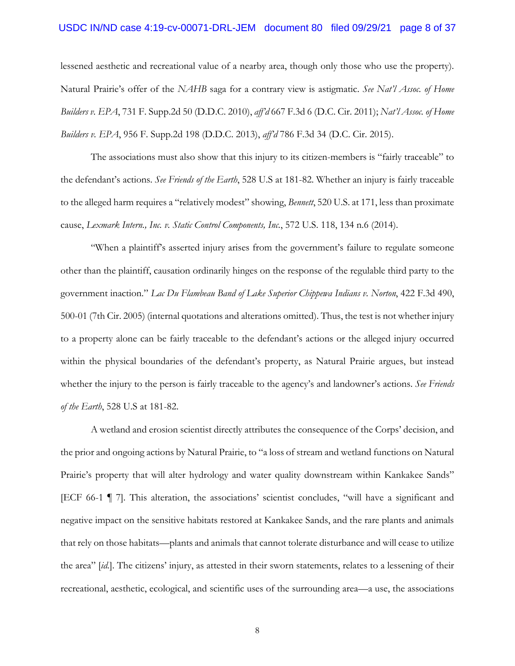### USDC IN/ND case 4:19-cv-00071-DRL-JEM document 80 filed 09/29/21 page 8 of 37

lessened aesthetic and recreational value of a nearby area, though only those who use the property). Natural Prairie's offer of the *NAHB* saga for a contrary view is astigmatic. *See Nat'l Assoc. of Home Builders v. EPA*, 731 F. Supp.2d 50 (D.D.C. 2010), *aff'd* 667 F.3d 6 (D.C. Cir. 2011); *Nat'l Assoc. of Home Builders v. EPA*, 956 F. Supp.2d 198 (D.D.C. 2013), *aff'd* 786 F.3d 34 (D.C. Cir. 2015).

The associations must also show that this injury to its citizen-members is "fairly traceable" to the defendant's actions. *See Friends of the Earth*, 528 U.S at 181-82. Whether an injury is fairly traceable to the alleged harm requires a "relatively modest" showing, *Bennett*, 520 U.S. at 171, less than proximate cause, *Lexmark Intern., Inc. v. Static Control Components, Inc.*, 572 U.S. 118, 134 n.6 (2014).

"When a plaintiff's asserted injury arises from the government's failure to regulate someone other than the plaintiff, causation ordinarily hinges on the response of the regulable third party to the government inaction." *Lac Du Flambeau Band of Lake Superior Chippewa Indians v. Norton*, 422 F.3d 490, 500-01 (7th Cir. 2005) (internal quotations and alterations omitted). Thus, the test is not whether injury to a property alone can be fairly traceable to the defendant's actions or the alleged injury occurred within the physical boundaries of the defendant's property, as Natural Prairie argues, but instead whether the injury to the person is fairly traceable to the agency's and landowner's actions. *See Friends of the Earth*, 528 U.S at 181-82.

A wetland and erosion scientist directly attributes the consequence of the Corps' decision, and the prior and ongoing actions by Natural Prairie, to "a loss of stream and wetland functions on Natural Prairie's property that will alter hydrology and water quality downstream within Kankakee Sands" [ECF 66-1 ¶ 7]. This alteration, the associations' scientist concludes, "will have a significant and negative impact on the sensitive habitats restored at Kankakee Sands, and the rare plants and animals that rely on those habitats—plants and animals that cannot tolerate disturbance and will cease to utilize the area" [*id.*]. The citizens' injury, as attested in their sworn statements, relates to a lessening of their recreational, aesthetic, ecological, and scientific uses of the surrounding area—a use, the associations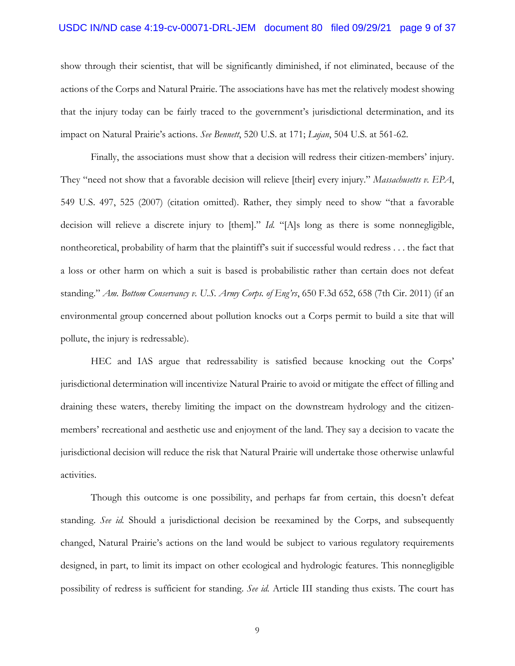# USDC IN/ND case 4:19-cv-00071-DRL-JEM document 80 filed 09/29/21 page 9 of 37

show through their scientist, that will be significantly diminished, if not eliminated, because of the actions of the Corps and Natural Prairie. The associations have has met the relatively modest showing that the injury today can be fairly traced to the government's jurisdictional determination, and its impact on Natural Prairie's actions. *See Bennett*, 520 U.S. at 171; *Lujan*, 504 U.S. at 561-62.

Finally, the associations must show that a decision will redress their citizen-members' injury. They "need not show that a favorable decision will relieve [their] every injury." *Massachusetts v. EPA*, 549 U.S. 497, 525 (2007) (citation omitted). Rather, they simply need to show "that a favorable decision will relieve a discrete injury to [them]." *Id.* "[A]s long as there is some nonnegligible, nontheoretical, probability of harm that the plaintiff's suit if successful would redress . . . the fact that a loss or other harm on which a suit is based is probabilistic rather than certain does not defeat standing." *Am. Bottom Conservancy v. U.S. Army Corps. of Eng'rs*, 650 F.3d 652, 658 (7th Cir. 2011) (if an environmental group concerned about pollution knocks out a Corps permit to build a site that will pollute, the injury is redressable).

HEC and IAS argue that redressability is satisfied because knocking out the Corps' jurisdictional determination will incentivize Natural Prairie to avoid or mitigate the effect of filling and draining these waters, thereby limiting the impact on the downstream hydrology and the citizenmembers' recreational and aesthetic use and enjoyment of the land. They say a decision to vacate the jurisdictional decision will reduce the risk that Natural Prairie will undertake those otherwise unlawful activities.

Though this outcome is one possibility, and perhaps far from certain, this doesn't defeat standing. *See id.* Should a jurisdictional decision be reexamined by the Corps, and subsequently changed, Natural Prairie's actions on the land would be subject to various regulatory requirements designed, in part, to limit its impact on other ecological and hydrologic features. This nonnegligible possibility of redress is sufficient for standing. *See id.* Article III standing thus exists. The court has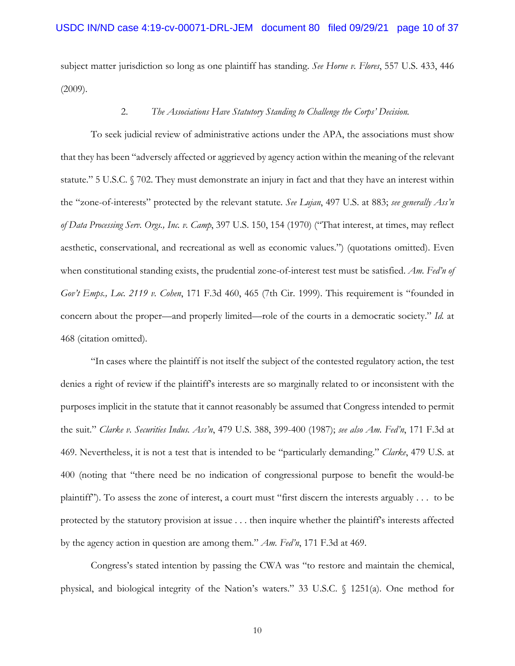subject matter jurisdiction so long as one plaintiff has standing. *See Horne v. Flores*, 557 U.S. 433, 446 (2009).

### 2. *The Associations Have Statutory Standing to Challenge the Corps' Decision.*

To seek judicial review of administrative actions under the APA, the associations must show that they has been "adversely affected or aggrieved by agency action within the meaning of the relevant statute." 5 U.S.C. § 702. They must demonstrate an injury in fact and that they have an interest within the "zone-of-interests" protected by the relevant statute. *See Lujan*, 497 U.S. at 883; *see generally Ass'n of Data Processing Serv. Orgs., Inc. v. Camp*, 397 U.S. 150, 154 (1970) ("That interest, at times, may reflect aesthetic, conservational, and recreational as well as economic values.") (quotations omitted). Even when constitutional standing exists, the prudential zone-of-interest test must be satisfied. *Am. Fed'n of Gov't Emps., Loc. 2119 v. Cohen*, 171 F.3d 460, 465 (7th Cir. 1999). This requirement is "founded in concern about the proper—and properly limited—role of the courts in a democratic society." *Id.* at 468 (citation omitted).

"In cases where the plaintiff is not itself the subject of the contested regulatory action, the test denies a right of review if the plaintiff's interests are so marginally related to or inconsistent with the purposes implicit in the statute that it cannot reasonably be assumed that Congress intended to permit the suit." *Clarke v. Securities Indus. Ass'n*, 479 U.S. 388, 399-400 (1987); *see also Am. Fed'n*, 171 F.3d at 469. Nevertheless, it is not a test that is intended to be "particularly demanding." *Clarke*, 479 U.S. at 400 (noting that "there need be no indication of congressional purpose to benefit the would-be plaintiff"). To assess the zone of interest, a court must "first discern the interests arguably . . . to be protected by the statutory provision at issue . . . then inquire whether the plaintiff's interests affected by the agency action in question are among them." *Am. Fed'n*, 171 F.3d at 469.

 Congress's stated intention by passing the CWA was "to restore and maintain the chemical, physical, and biological integrity of the Nation's waters." 33 U.S.C. § 1251(a). One method for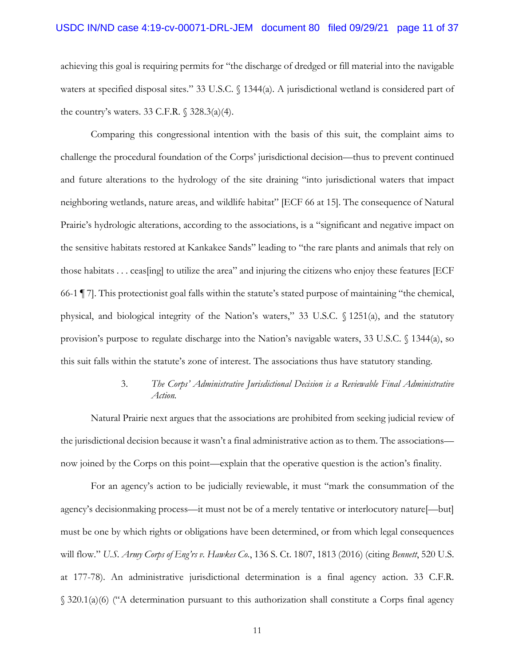#### USDC IN/ND case 4:19-cv-00071-DRL-JEM document 80 filed 09/29/21 page 11 of 37

achieving this goal is requiring permits for "the discharge of dredged or fill material into the navigable waters at specified disposal sites." 33 U.S.C. § 1344(a). A jurisdictional wetland is considered part of the country's waters. 33 C.F.R.  $\sqrt{328.3(a)(4)}$ .

Comparing this congressional intention with the basis of this suit, the complaint aims to challenge the procedural foundation of the Corps' jurisdictional decision—thus to prevent continued and future alterations to the hydrology of the site draining "into jurisdictional waters that impact neighboring wetlands, nature areas, and wildlife habitat" [ECF 66 at 15]. The consequence of Natural Prairie's hydrologic alterations, according to the associations, is a "significant and negative impact on the sensitive habitats restored at Kankakee Sands" leading to "the rare plants and animals that rely on those habitats . . . ceas[ing] to utilize the area" and injuring the citizens who enjoy these features [ECF 66-1 ¶ 7]. This protectionist goal falls within the statute's stated purpose of maintaining "the chemical, physical, and biological integrity of the Nation's waters," 33 U.S.C. § 1251(a), and the statutory provision's purpose to regulate discharge into the Nation's navigable waters, 33 U.S.C. § 1344(a), so this suit falls within the statute's zone of interest. The associations thus have statutory standing.

# 3. *The Corps' Administrative Jurisdictional Decision is a Reviewable Final Administrative Action.*

Natural Prairie next argues that the associations are prohibited from seeking judicial review of the jurisdictional decision because it wasn't a final administrative action as to them. The associations now joined by the Corps on this point—explain that the operative question is the action's finality.

For an agency's action to be judicially reviewable, it must "mark the consummation of the agency's decisionmaking process—it must not be of a merely tentative or interlocutory nature[—but] must be one by which rights or obligations have been determined, or from which legal consequences will flow." *U.S. Army Corps of Eng'rs v. Hawkes Co.*, 136 S. Ct. 1807, 1813 (2016) (citing *Bennett*, 520 U.S. at 177-78). An administrative jurisdictional determination is a final agency action. 33 C.F.R. § 320.1(a)(6) ("A determination pursuant to this authorization shall constitute a Corps final agency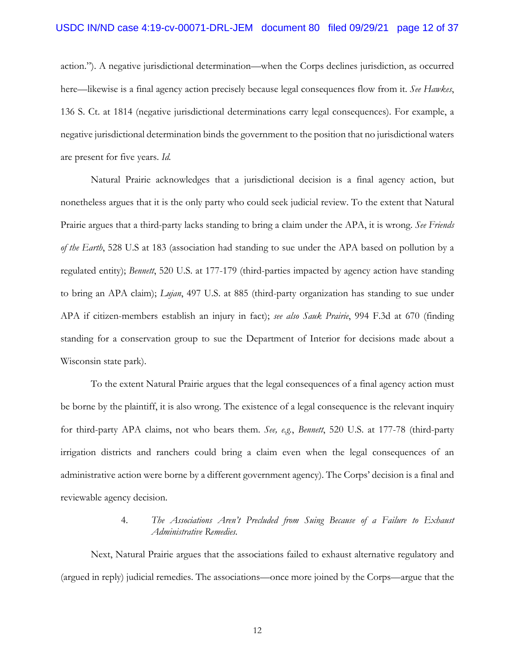action."). A negative jurisdictional determination—when the Corps declines jurisdiction, as occurred here—likewise is a final agency action precisely because legal consequences flow from it. *See Hawkes*, 136 S. Ct. at 1814 (negative jurisdictional determinations carry legal consequences). For example, a negative jurisdictional determination binds the government to the position that no jurisdictional waters are present for five years. *Id.*

Natural Prairie acknowledges that a jurisdictional decision is a final agency action, but nonetheless argues that it is the only party who could seek judicial review. To the extent that Natural Prairie argues that a third-party lacks standing to bring a claim under the APA, it is wrong. *See Friends of the Earth*, 528 U.S at 183 (association had standing to sue under the APA based on pollution by a regulated entity); *Bennett*, 520 U.S. at 177-179 (third-parties impacted by agency action have standing to bring an APA claim); *Lujan*, 497 U.S. at 885 (third-party organization has standing to sue under APA if citizen-members establish an injury in fact); *see also Sauk Prairie*, 994 F.3d at 670 (finding standing for a conservation group to sue the Department of Interior for decisions made about a Wisconsin state park).

To the extent Natural Prairie argues that the legal consequences of a final agency action must be borne by the plaintiff, it is also wrong. The existence of a legal consequence is the relevant inquiry for third-party APA claims, not who bears them. *See, e.g.*, *Bennett*, 520 U.S. at 177-78 (third-party irrigation districts and ranchers could bring a claim even when the legal consequences of an administrative action were borne by a different government agency). The Corps' decision is a final and reviewable agency decision.

# 4. *The Associations Aren't Precluded from Suing Because of a Failure to Exhaust Administrative Remedies.*

Next, Natural Prairie argues that the associations failed to exhaust alternative regulatory and (argued in reply) judicial remedies. The associations—once more joined by the Corps—argue that the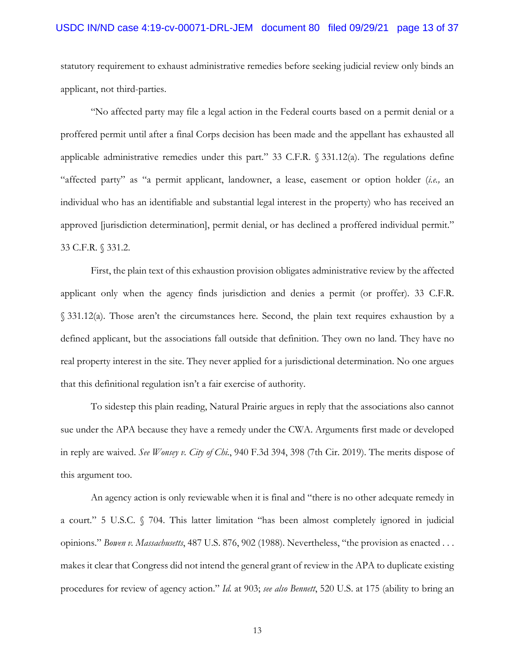# USDC IN/ND case 4:19-cv-00071-DRL-JEM document 80 filed 09/29/21 page 13 of 37

statutory requirement to exhaust administrative remedies before seeking judicial review only binds an applicant, not third-parties.

"No affected party may file a legal action in the Federal courts based on a permit denial or a proffered permit until after a final Corps decision has been made and the appellant has exhausted all applicable administrative remedies under this part." 33 C.F.R. § 331.12(a). The regulations define "affected party" as "a permit applicant, landowner, a lease, easement or option holder (*i.e.,* an individual who has an identifiable and substantial legal interest in the property) who has received an approved [jurisdiction determination], permit denial, or has declined a proffered individual permit." 33 C.F.R. § 331.2.

First, the plain text of this exhaustion provision obligates administrative review by the affected applicant only when the agency finds jurisdiction and denies a permit (or proffer). 33 C.F.R. § 331.12(a). Those aren't the circumstances here. Second, the plain text requires exhaustion by a defined applicant, but the associations fall outside that definition. They own no land. They have no real property interest in the site. They never applied for a jurisdictional determination. No one argues that this definitional regulation isn't a fair exercise of authority.

To sidestep this plain reading, Natural Prairie argues in reply that the associations also cannot sue under the APA because they have a remedy under the CWA. Arguments first made or developed in reply are waived. *See Wonsey v. City of Chi.*, 940 F.3d 394, 398 (7th Cir. 2019). The merits dispose of this argument too.

An agency action is only reviewable when it is final and "there is no other adequate remedy in a court." 5 U.S.C. § 704. This latter limitation "has been almost completely ignored in judicial opinions." *Bowen v. Massachusetts*, 487 U.S. 876, 902 (1988). Nevertheless, "the provision as enacted . . . makes it clear that Congress did not intend the general grant of review in the APA to duplicate existing procedures for review of agency action." *Id.* at 903; *see also Bennett*, 520 U.S. at 175 (ability to bring an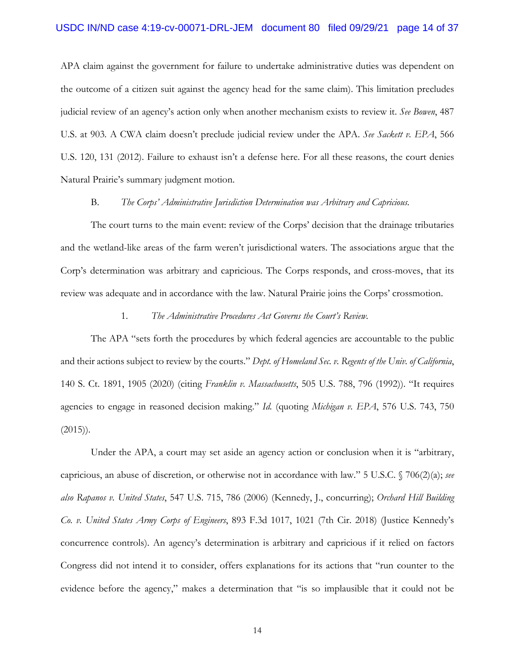### USDC IN/ND case 4:19-cv-00071-DRL-JEM document 80 filed 09/29/21 page 14 of 37

APA claim against the government for failure to undertake administrative duties was dependent on the outcome of a citizen suit against the agency head for the same claim). This limitation precludes judicial review of an agency's action only when another mechanism exists to review it. *See Bowen*, 487 U.S. at 903*.* A CWA claim doesn't preclude judicial review under the APA. *See Sackett v. EPA*, 566 U.S. 120, 131 (2012). Failure to exhaust isn't a defense here. For all these reasons, the court denies Natural Prairie's summary judgment motion.

#### B. *The Corps' Administrative Jurisdiction Determination was Arbitrary and Capricious.*

The court turns to the main event: review of the Corps' decision that the drainage tributaries and the wetland-like areas of the farm weren't jurisdictional waters. The associations argue that the Corp's determination was arbitrary and capricious. The Corps responds, and cross-moves, that its review was adequate and in accordance with the law. Natural Prairie joins the Corps' crossmotion.

#### 1. *The Administrative Procedures Act Governs the Court's Review.*

The APA "sets forth the procedures by which federal agencies are accountable to the public and their actions subject to review by the courts." *Dept. of Homeland Sec. v. Regents of the Univ. of California*, 140 S. Ct. 1891, 1905 (2020) (citing *Franklin v. Massachusetts*, 505 U.S. 788, 796 (1992)). "It requires agencies to engage in reasoned decision making." *Id.* (quoting *Michigan v. EPA*, 576 U.S. 743, 750  $(2015)$ .

Under the APA, a court may set aside an agency action or conclusion when it is "arbitrary, capricious, an abuse of discretion, or otherwise not in accordance with law." 5 U.S.C. § 706(2)(a); *see also Rapanos v. United States*, 547 U.S. 715, 786 (2006) (Kennedy, J., concurring); *Orchard Hill Building Co. v. United States Army Corps of Engineers*, 893 F.3d 1017, 1021 (7th Cir. 2018) (Justice Kennedy's concurrence controls). An agency's determination is arbitrary and capricious if it relied on factors Congress did not intend it to consider, offers explanations for its actions that "run counter to the evidence before the agency," makes a determination that "is so implausible that it could not be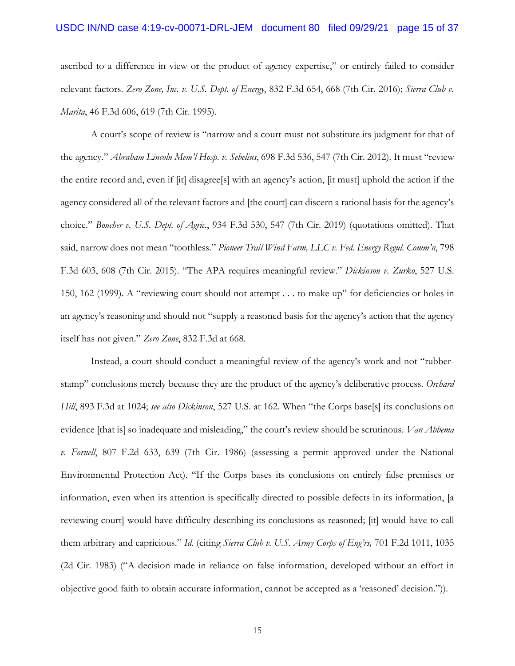#### USDC IN/ND case 4:19-cv-00071-DRL-JEM document 80 filed 09/29/21 page 15 of 37

ascribed to a difference in view or the product of agency expertise," or entirely failed to consider relevant factors. *Zero Zone, Inc. v. U.S. Dept. of Energy*, 832 F.3d 654, 668 (7th Cir. 2016); *Sierra Club v. Marita*, 46 F.3d 606, 619 (7th Cir. 1995).

A court's scope of review is "narrow and a court must not substitute its judgment for that of the agency." *Abraham Lincoln Mem'l Hosp. v. Sebelius*, 698 F.3d 536, 547 (7th Cir. 2012). It must "review the entire record and, even if [it] disagree[s] with an agency's action, [it must] uphold the action if the agency considered all of the relevant factors and [the court] can discern a rational basis for the agency's choice." *Boucher v. U.S. Dept. of Agric.*, 934 F.3d 530, 547 (7th Cir. 2019) (quotations omitted). That said, narrow does not mean "toothless." *Pioneer Trail Wind Farm, LLC v. Fed. Energy Regul. Comm'n*, 798 F.3d 603, 608 (7th Cir. 2015). "The APA requires meaningful review." *Dickinson v. Zurko*, 527 U.S. 150, 162 (1999). A "reviewing court should not attempt . . . to make up" for deficiencies or holes in an agency's reasoning and should not "supply a reasoned basis for the agency's action that the agency itself has not given." *Zero Zone*, 832 F.3d at 668.

Instead, a court should conduct a meaningful review of the agency's work and not "rubberstamp" conclusions merely because they are the product of the agency's deliberative process. *Orchard Hill*, 893 F.3d at 1024; *see also Dickinson*, 527 U.S. at 162. When "the Corps base[s] its conclusions on evidence [that is] so inadequate and misleading," the court's review should be scrutinous. *Van Abbema v. Fornell*, 807 F.2d 633, 639 (7th Cir. 1986) (assessing a permit approved under the National Environmental Protection Act). "If the Corps bases its conclusions on entirely false premises or information, even when its attention is specifically directed to possible defects in its information, [a reviewing court] would have difficulty describing its conclusions as reasoned; [it] would have to call them arbitrary and capricious." *Id.* (citing *Sierra Club v. U.S. Army Corps of Eng'rs,* 701 F.2d 1011, 1035 (2d Cir. 1983) ("A decision made in reliance on false information, developed without an effort in objective good faith to obtain accurate information, cannot be accepted as a 'reasoned' decision.")).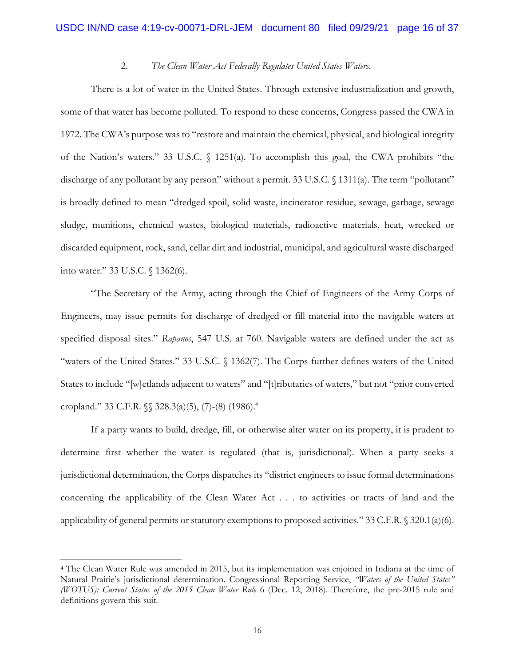### 2. *The Clean Water Act Federally Regulates United States Waters.*

There is a lot of water in the United States. Through extensive industrialization and growth, some of that water has become polluted. To respond to these concerns, Congress passed the CWA in 1972. The CWA's purpose was to "restore and maintain the chemical, physical, and biological integrity of the Nation's waters." 33 U.S.C. § 1251(a). To accomplish this goal, the CWA prohibits "the discharge of any pollutant by any person" without a permit. 33 U.S.C. § 1311(a). The term "pollutant" is broadly defined to mean "dredged spoil, solid waste, incinerator residue, sewage, garbage, sewage sludge, munitions, chemical wastes, biological materials, radioactive materials, heat, wrecked or discarded equipment, rock, sand, cellar dirt and industrial, municipal, and agricultural waste discharged into water." 33 U.S.C. § 1362(6).

"The Secretary of the Army, acting through the Chief of Engineers of the Army Corps of Engineers, may issue permits for discharge of dredged or fill material into the navigable waters at specified disposal sites." *Rapanos*, 547 U.S. at 760. Navigable waters are defined under the act as "waters of the United States." 33 U.S.C. § 1362(7). The Corps further defines waters of the United States to include "[w]etlands adjacent to waters" and "[t]ributaries of waters," but not "prior converted cropland." 33 C.F.R. §§ 328.3(a)(5), (7)-(8) (1986).4

If a party wants to build, dredge, fill, or otherwise alter water on its property, it is prudent to determine first whether the water is regulated (that is, jurisdictional). When a party seeks a jurisdictional determination, the Corps dispatches its "district engineers to issue formal determinations concerning the applicability of the Clean Water Act . . . to activities or tracts of land and the applicability of general permits or statutory exemptions to proposed activities." 33 C.F.R. § 320.1(a)(6).

<sup>4</sup> The Clean Water Rule was amended in 2015, but its implementation was enjoined in Indiana at the time of Natural Prairie's jurisdictional determination. Congressional Reporting Service, *"Waters of the United States" (WOTUS): Current Status of the 2015 Clean Water Rule* 6 (Dec. 12, 2018). Therefore, the pre-2015 rule and definitions govern this suit.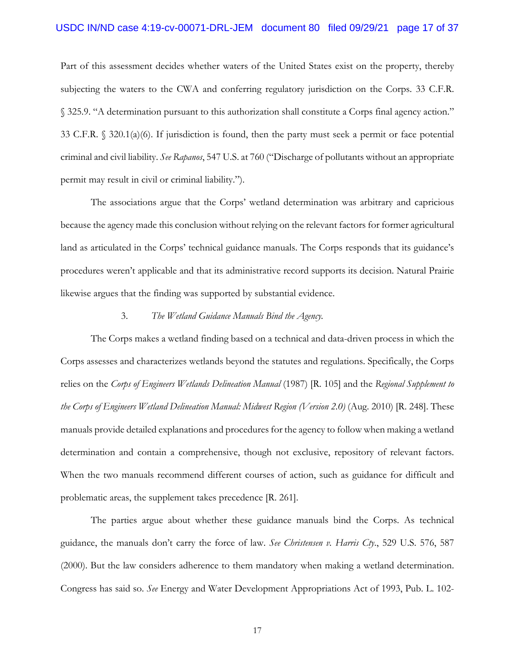### USDC IN/ND case 4:19-cv-00071-DRL-JEM document 80 filed 09/29/21 page 17 of 37

Part of this assessment decides whether waters of the United States exist on the property, thereby subjecting the waters to the CWA and conferring regulatory jurisdiction on the Corps. 33 C.F.R. § 325.9. "A determination pursuant to this authorization shall constitute a Corps final agency action." 33 C.F.R. § 320.1(a)(6). If jurisdiction is found, then the party must seek a permit or face potential criminal and civil liability. *See Rapanos*, 547 U.S. at 760 ("Discharge of pollutants without an appropriate permit may result in civil or criminal liability.").

The associations argue that the Corps' wetland determination was arbitrary and capricious because the agency made this conclusion without relying on the relevant factors for former agricultural land as articulated in the Corps' technical guidance manuals. The Corps responds that its guidance's procedures weren't applicable and that its administrative record supports its decision. Natural Prairie likewise argues that the finding was supported by substantial evidence.

#### 3. *The Wetland Guidance Manuals Bind the Agency.*

The Corps makes a wetland finding based on a technical and data-driven process in which the Corps assesses and characterizes wetlands beyond the statutes and regulations. Specifically, the Corps relies on the *Corps of Engineers Wetlands Delineation Manual* (1987) [R. 105] and the *Regional Supplement to the Corps of Engineers Wetland Delineation Manual: Midwest Region (Version 2.0)* (Aug. 2010) [R. 248]. These manuals provide detailed explanations and procedures for the agency to follow when making a wetland determination and contain a comprehensive, though not exclusive, repository of relevant factors. When the two manuals recommend different courses of action, such as guidance for difficult and problematic areas, the supplement takes precedence [R. 261].

The parties argue about whether these guidance manuals bind the Corps. As technical guidance, the manuals don't carry the force of law. *See Christensen v. Harris Cty*., 529 U.S. 576, 587 (2000). But the law considers adherence to them mandatory when making a wetland determination. Congress has said so. *See* Energy and Water Development Appropriations Act of 1993, Pub. L. 102-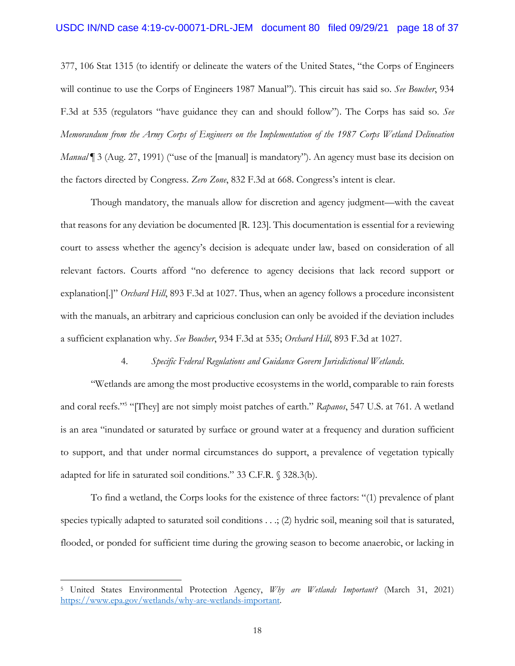### USDC IN/ND case 4:19-cv-00071-DRL-JEM document 80 filed 09/29/21 page 18 of 37

377, 106 Stat 1315 (to identify or delineate the waters of the United States, "the Corps of Engineers will continue to use the Corps of Engineers 1987 Manual"). This circuit has said so. *See Boucher*, 934 F.3d at 535 (regulators "have guidance they can and should follow"). The Corps has said so. *See Memorandum from the Army Corps of Engineers on the Implementation of the 1987 Corps Wetland Delineation Manual* <sup>1</sup> 3 (Aug. 27, 1991) ("use of the [manual] is mandatory"). An agency must base its decision on the factors directed by Congress. *Zero Zone*, 832 F.3d at 668. Congress's intent is clear.

Though mandatory, the manuals allow for discretion and agency judgment—with the caveat that reasons for any deviation be documented [R. 123]. This documentation is essential for a reviewing court to assess whether the agency's decision is adequate under law, based on consideration of all relevant factors. Courts afford "no deference to agency decisions that lack record support or explanation[.]" *Orchard Hill*, 893 F.3d at 1027. Thus, when an agency follows a procedure inconsistent with the manuals, an arbitrary and capricious conclusion can only be avoided if the deviation includes a sufficient explanation why. *See Boucher*, 934 F.3d at 535; *Orchard Hill*, 893 F.3d at 1027.

#### 4. *Specific Federal Regulations and Guidance Govern Jurisdictional Wetlands.*

"Wetlands are among the most productive ecosystems in the world, comparable to rain forests and coral reefs."5 "[They] are not simply moist patches of earth." *Rapanos*, 547 U.S. at 761. A wetland is an area "inundated or saturated by surface or ground water at a frequency and duration sufficient to support, and that under normal circumstances do support, a prevalence of vegetation typically adapted for life in saturated soil conditions." 33 C.F.R. § 328.3(b).

To find a wetland, the Corps looks for the existence of three factors: "(1) prevalence of plant species typically adapted to saturated soil conditions . . .; (2) hydric soil, meaning soil that is saturated, flooded, or ponded for sufficient time during the growing season to become anaerobic, or lacking in

<sup>5</sup> United States Environmental Protection Agency, *Why are Wetlands Important?* (March 31, 2021) https://www.epa.gov/wetlands/why-are-wetlands-important.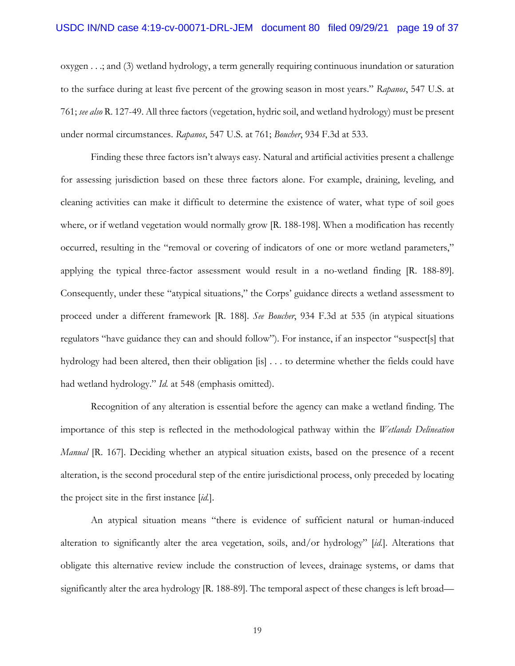## USDC IN/ND case 4:19-cv-00071-DRL-JEM document 80 filed 09/29/21 page 19 of 37

oxygen . . .; and (3) wetland hydrology, a term generally requiring continuous inundation or saturation to the surface during at least five percent of the growing season in most years." *Rapanos*, 547 U.S. at 761; *see also* R. 127-49. All three factors (vegetation, hydric soil, and wetland hydrology) must be present under normal circumstances. *Rapanos*, 547 U.S. at 761; *Boucher*, 934 F.3d at 533.

Finding these three factors isn't always easy. Natural and artificial activities present a challenge for assessing jurisdiction based on these three factors alone. For example, draining, leveling, and cleaning activities can make it difficult to determine the existence of water, what type of soil goes where, or if wetland vegetation would normally grow [R. 188-198]. When a modification has recently occurred, resulting in the "removal or covering of indicators of one or more wetland parameters," applying the typical three-factor assessment would result in a no-wetland finding [R. 188-89]. Consequently, under these "atypical situations," the Corps' guidance directs a wetland assessment to proceed under a different framework [R. 188]. *See Boucher*, 934 F.3d at 535 (in atypical situations regulators "have guidance they can and should follow"). For instance, if an inspector "suspect[s] that hydrology had been altered, then their obligation [is] . . . to determine whether the fields could have had wetland hydrology." *Id.* at 548 (emphasis omitted).

Recognition of any alteration is essential before the agency can make a wetland finding. The importance of this step is reflected in the methodological pathway within the *Wetlands Delineation Manual* [R. 167]. Deciding whether an atypical situation exists, based on the presence of a recent alteration, is the second procedural step of the entire jurisdictional process, only preceded by locating the project site in the first instance [*id.*].

An atypical situation means "there is evidence of sufficient natural or human-induced alteration to significantly alter the area vegetation, soils, and/or hydrology" [*id.*]. Alterations that obligate this alternative review include the construction of levees, drainage systems, or dams that significantly alter the area hydrology [R. 188-89]. The temporal aspect of these changes is left broad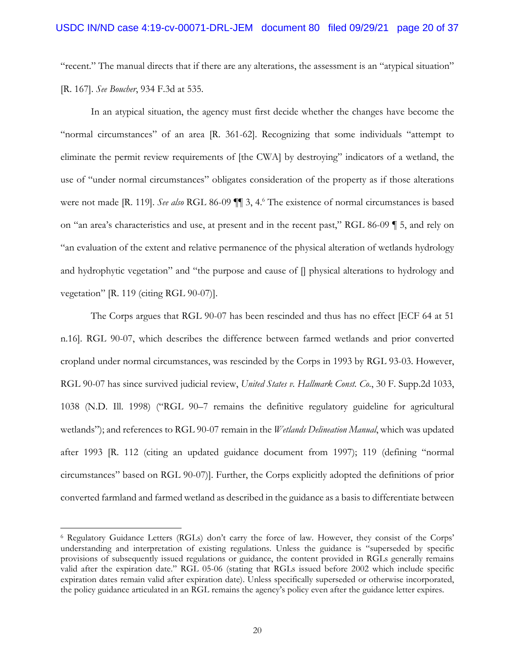"recent." The manual directs that if there are any alterations, the assessment is an "atypical situation" [R. 167]. *See Boucher*, 934 F.3d at 535.

In an atypical situation, the agency must first decide whether the changes have become the "normal circumstances" of an area [R. 361-62]. Recognizing that some individuals "attempt to eliminate the permit review requirements of [the CWA] by destroying" indicators of a wetland, the use of "under normal circumstances" obligates consideration of the property as if those alterations were not made [R. 119]. *See also* RGL 86-09  $\P$  3, 4.<sup>6</sup> The existence of normal circumstances is based on "an area's characteristics and use, at present and in the recent past," RGL 86-09 ¶ 5, and rely on "an evaluation of the extent and relative permanence of the physical alteration of wetlands hydrology and hydrophytic vegetation" and "the purpose and cause of [] physical alterations to hydrology and vegetation" [R. 119 (citing RGL 90-07)].

The Corps argues that RGL 90-07 has been rescinded and thus has no effect [ECF 64 at 51 n.16]. RGL 90-07, which describes the difference between farmed wetlands and prior converted cropland under normal circumstances, was rescinded by the Corps in 1993 by RGL 93-03. However, RGL 90-07 has since survived judicial review, *United States v. Hallmark Const. Co.*, 30 F. Supp.2d 1033, 1038 (N.D. Ill. 1998) ("RGL 90–7 remains the definitive regulatory guideline for agricultural wetlands"); and references to RGL 90-07 remain in the *Wetlands Delineation Manual*, which was updated after 1993 [R. 112 (citing an updated guidance document from 1997); 119 (defining "normal circumstances" based on RGL 90-07)]. Further, the Corps explicitly adopted the definitions of prior converted farmland and farmed wetland as described in the guidance as a basis to differentiate between

<sup>6</sup> Regulatory Guidance Letters (RGLs) don't carry the force of law. However, they consist of the Corps' understanding and interpretation of existing regulations. Unless the guidance is "superseded by specific provisions of subsequently issued regulations or guidance, the content provided in RGLs generally remains valid after the expiration date." RGL 05-06 (stating that RGLs issued before 2002 which include specific expiration dates remain valid after expiration date). Unless specifically superseded or otherwise incorporated, the policy guidance articulated in an RGL remains the agency's policy even after the guidance letter expires.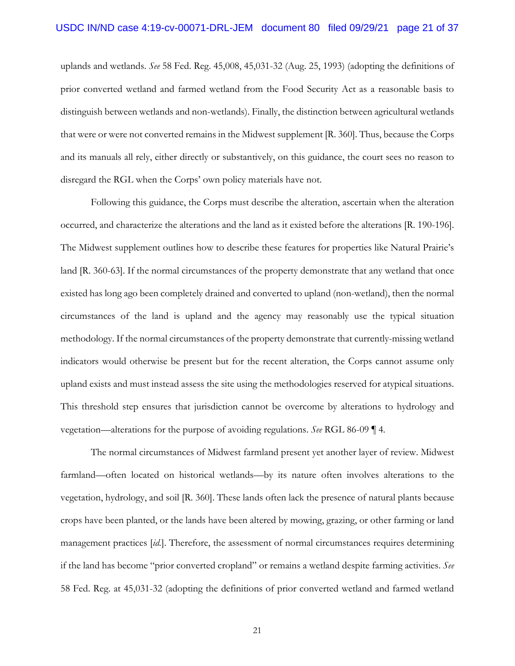uplands and wetlands. *See* 58 Fed. Reg. 45,008, 45,031-32 (Aug. 25, 1993) (adopting the definitions of prior converted wetland and farmed wetland from the Food Security Act as a reasonable basis to distinguish between wetlands and non-wetlands). Finally, the distinction between agricultural wetlands that were or were not converted remains in the Midwest supplement [R. 360]. Thus, because the Corps and its manuals all rely, either directly or substantively, on this guidance, the court sees no reason to disregard the RGL when the Corps' own policy materials have not.

Following this guidance, the Corps must describe the alteration, ascertain when the alteration occurred, and characterize the alterations and the land as it existed before the alterations [R. 190-196]. The Midwest supplement outlines how to describe these features for properties like Natural Prairie's land [R. 360-63]. If the normal circumstances of the property demonstrate that any wetland that once existed has long ago been completely drained and converted to upland (non-wetland), then the normal circumstances of the land is upland and the agency may reasonably use the typical situation methodology. If the normal circumstances of the property demonstrate that currently-missing wetland indicators would otherwise be present but for the recent alteration, the Corps cannot assume only upland exists and must instead assess the site using the methodologies reserved for atypical situations. This threshold step ensures that jurisdiction cannot be overcome by alterations to hydrology and vegetation—alterations for the purpose of avoiding regulations. *See* RGL 86-09 ¶ 4*.*

The normal circumstances of Midwest farmland present yet another layer of review. Midwest farmland—often located on historical wetlands—by its nature often involves alterations to the vegetation, hydrology, and soil [R. 360]. These lands often lack the presence of natural plants because crops have been planted, or the lands have been altered by mowing, grazing, or other farming or land management practices [*id.*]. Therefore, the assessment of normal circumstances requires determining if the land has become "prior converted cropland" or remains a wetland despite farming activities. *See* 58 Fed. Reg. at 45,031-32 (adopting the definitions of prior converted wetland and farmed wetland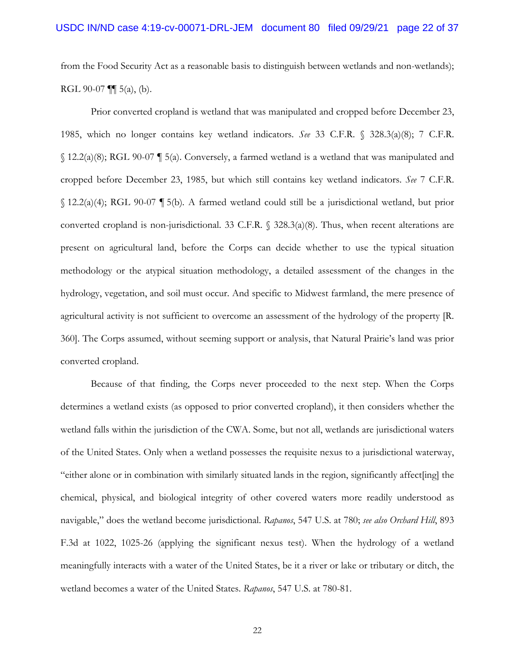from the Food Security Act as a reasonable basis to distinguish between wetlands and non-wetlands); RGL 90-07  $\P$  $(5(a), (b)$ .

Prior converted cropland is wetland that was manipulated and cropped before December 23, 1985, which no longer contains key wetland indicators. *See* 33 C.F.R. § 328.3(a)(8); 7 C.F.R.  $\{(12.2(a)(8))\}$  RGL 90-07  $\[$  5(a). Conversely, a farmed wetland is a wetland that was manipulated and cropped before December 23, 1985, but which still contains key wetland indicators. *See* 7 C.F.R. § 12.2(a)(4); RGL 90-07 ¶ 5(b)*.* A farmed wetland could still be a jurisdictional wetland, but prior converted cropland is non-jurisdictional. 33 C.F.R. § 328.3(a)(8). Thus, when recent alterations are present on agricultural land, before the Corps can decide whether to use the typical situation methodology or the atypical situation methodology, a detailed assessment of the changes in the hydrology, vegetation, and soil must occur. And specific to Midwest farmland, the mere presence of agricultural activity is not sufficient to overcome an assessment of the hydrology of the property [R. 360]. The Corps assumed, without seeming support or analysis, that Natural Prairie's land was prior converted cropland.

Because of that finding, the Corps never proceeded to the next step. When the Corps determines a wetland exists (as opposed to prior converted cropland), it then considers whether the wetland falls within the jurisdiction of the CWA. Some, but not all, wetlands are jurisdictional waters of the United States. Only when a wetland possesses the requisite nexus to a jurisdictional waterway, "either alone or in combination with similarly situated lands in the region, significantly affect[ing] the chemical, physical, and biological integrity of other covered waters more readily understood as navigable," does the wetland become jurisdictional. *Rapanos*, 547 U.S. at 780; *see also Orchard Hill*, 893 F.3d at 1022, 1025-26 (applying the significant nexus test). When the hydrology of a wetland meaningfully interacts with a water of the United States, be it a river or lake or tributary or ditch, the wetland becomes a water of the United States. *Rapanos*, 547 U.S. at 780-81.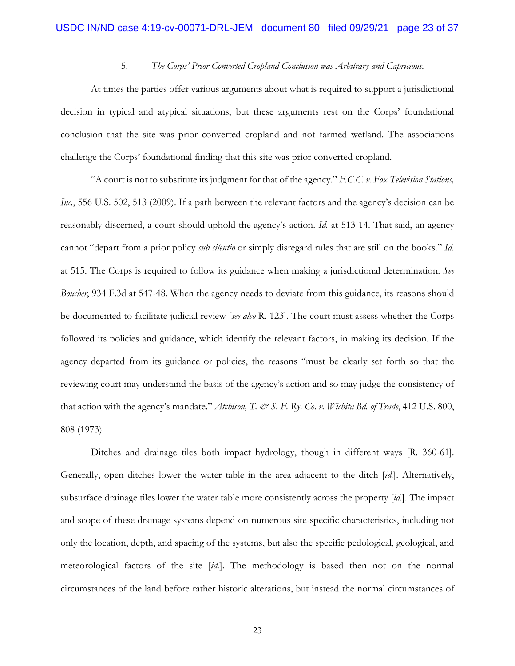# 5. *The Corps' Prior Converted Cropland Conclusion was Arbitrary and Capricious.*

At times the parties offer various arguments about what is required to support a jurisdictional decision in typical and atypical situations, but these arguments rest on the Corps' foundational conclusion that the site was prior converted cropland and not farmed wetland. The associations challenge the Corps' foundational finding that this site was prior converted cropland.

"A court is not to substitute its judgment for that of the agency." *F.C.C. v. Fox Television Stations, Inc.*, 556 U.S. 502, 513 (2009). If a path between the relevant factors and the agency's decision can be reasonably discerned, a court should uphold the agency's action. *Id.* at 513-14. That said, an agency cannot "depart from a prior policy *sub silentio* or simply disregard rules that are still on the books." *Id.*  at 515. The Corps is required to follow its guidance when making a jurisdictional determination. *See Boucher*, 934 F.3d at 547-48. When the agency needs to deviate from this guidance, its reasons should be documented to facilitate judicial review [*see also* R. 123]. The court must assess whether the Corps followed its policies and guidance, which identify the relevant factors, in making its decision. If the agency departed from its guidance or policies, the reasons "must be clearly set forth so that the reviewing court may understand the basis of the agency's action and so may judge the consistency of that action with the agency's mandate." *Atchison*, T. & S. F. Ry. Co. v. Wichita Bd. of Trade, 412 U.S. 800, 808 (1973).

Ditches and drainage tiles both impact hydrology, though in different ways [R. 360-61]. Generally, open ditches lower the water table in the area adjacent to the ditch [*id.*]. Alternatively, subsurface drainage tiles lower the water table more consistently across the property [*id.*]. The impact and scope of these drainage systems depend on numerous site-specific characteristics, including not only the location, depth, and spacing of the systems, but also the specific pedological, geological, and meteorological factors of the site [*id.*]. The methodology is based then not on the normal circumstances of the land before rather historic alterations, but instead the normal circumstances of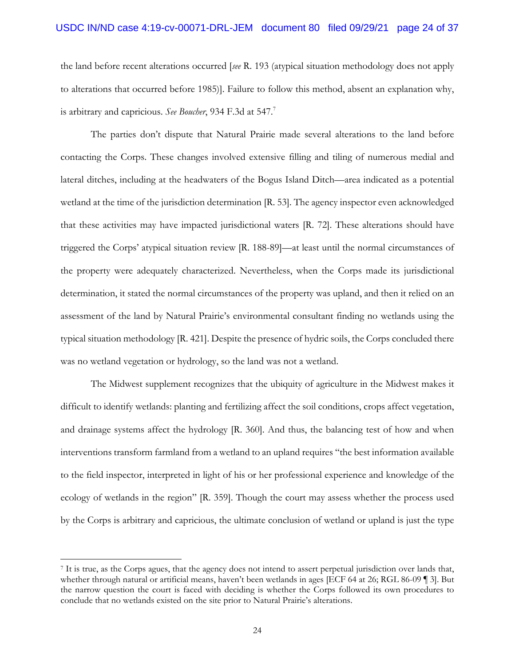### USDC IN/ND case 4:19-cv-00071-DRL-JEM document 80 filed 09/29/21 page 24 of 37

the land before recent alterations occurred [*see* R. 193 (atypical situation methodology does not apply to alterations that occurred before 1985)]. Failure to follow this method, absent an explanation why, is arbitrary and capricious. *See Boucher*, 934 F.3d at 547.<sup>7</sup>

The parties don't dispute that Natural Prairie made several alterations to the land before contacting the Corps. These changes involved extensive filling and tiling of numerous medial and lateral ditches, including at the headwaters of the Bogus Island Ditch—area indicated as a potential wetland at the time of the jurisdiction determination [R. 53]. The agency inspector even acknowledged that these activities may have impacted jurisdictional waters [R. 72]. These alterations should have triggered the Corps' atypical situation review [R. 188-89]—at least until the normal circumstances of the property were adequately characterized. Nevertheless, when the Corps made its jurisdictional determination, it stated the normal circumstances of the property was upland, and then it relied on an assessment of the land by Natural Prairie's environmental consultant finding no wetlands using the typical situation methodology [R. 421]. Despite the presence of hydric soils, the Corps concluded there was no wetland vegetation or hydrology, so the land was not a wetland.

The Midwest supplement recognizes that the ubiquity of agriculture in the Midwest makes it difficult to identify wetlands: planting and fertilizing affect the soil conditions, crops affect vegetation, and drainage systems affect the hydrology [R. 360]. And thus, the balancing test of how and when interventions transform farmland from a wetland to an upland requires "the best information available to the field inspector, interpreted in light of his or her professional experience and knowledge of the ecology of wetlands in the region" [R. 359]. Though the court may assess whether the process used by the Corps is arbitrary and capricious, the ultimate conclusion of wetland or upland is just the type

<sup>7</sup> It is true, as the Corps agues, that the agency does not intend to assert perpetual jurisdiction over lands that, whether through natural or artificial means, haven't been wetlands in ages [ECF 64 at 26; RGL 86-09 ¶ 3]. But the narrow question the court is faced with deciding is whether the Corps followed its own procedures to conclude that no wetlands existed on the site prior to Natural Prairie's alterations.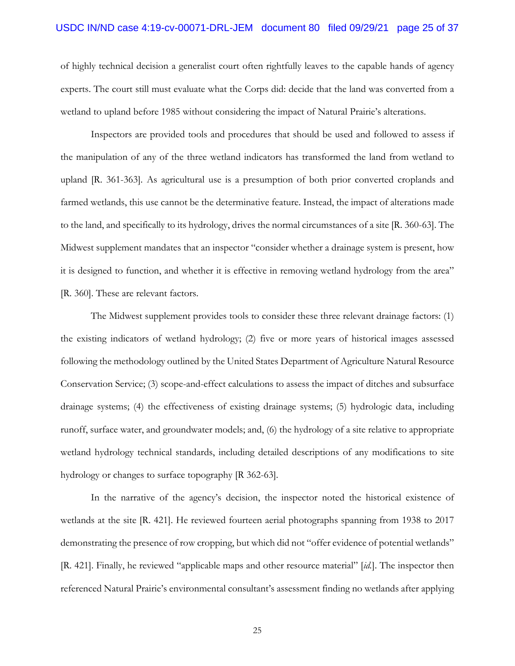### USDC IN/ND case 4:19-cv-00071-DRL-JEM document 80 filed 09/29/21 page 25 of 37

of highly technical decision a generalist court often rightfully leaves to the capable hands of agency experts. The court still must evaluate what the Corps did: decide that the land was converted from a wetland to upland before 1985 without considering the impact of Natural Prairie's alterations.

Inspectors are provided tools and procedures that should be used and followed to assess if the manipulation of any of the three wetland indicators has transformed the land from wetland to upland [R. 361-363]. As agricultural use is a presumption of both prior converted croplands and farmed wetlands, this use cannot be the determinative feature. Instead, the impact of alterations made to the land, and specifically to its hydrology, drives the normal circumstances of a site [R. 360-63]. The Midwest supplement mandates that an inspector "consider whether a drainage system is present, how it is designed to function, and whether it is effective in removing wetland hydrology from the area" [R. 360]. These are relevant factors.

The Midwest supplement provides tools to consider these three relevant drainage factors: (1) the existing indicators of wetland hydrology; (2) five or more years of historical images assessed following the methodology outlined by the United States Department of Agriculture Natural Resource Conservation Service; (3) scope-and-effect calculations to assess the impact of ditches and subsurface drainage systems; (4) the effectiveness of existing drainage systems; (5) hydrologic data, including runoff, surface water, and groundwater models; and, (6) the hydrology of a site relative to appropriate wetland hydrology technical standards, including detailed descriptions of any modifications to site hydrology or changes to surface topography [R 362-63].

In the narrative of the agency's decision, the inspector noted the historical existence of wetlands at the site [R. 421]. He reviewed fourteen aerial photographs spanning from 1938 to 2017 demonstrating the presence of row cropping, but which did not "offer evidence of potential wetlands" [R. 421]. Finally, he reviewed "applicable maps and other resource material" [*id.*]. The inspector then referenced Natural Prairie's environmental consultant's assessment finding no wetlands after applying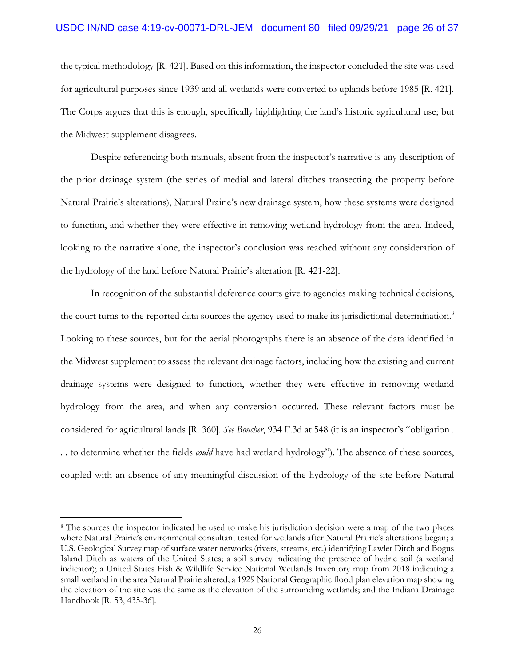### USDC IN/ND case 4:19-cv-00071-DRL-JEM document 80 filed 09/29/21 page 26 of 37

the typical methodology [R. 421]. Based on this information, the inspector concluded the site was used for agricultural purposes since 1939 and all wetlands were converted to uplands before 1985 [R. 421]. The Corps argues that this is enough, specifically highlighting the land's historic agricultural use; but the Midwest supplement disagrees.

Despite referencing both manuals, absent from the inspector's narrative is any description of the prior drainage system (the series of medial and lateral ditches transecting the property before Natural Prairie's alterations), Natural Prairie's new drainage system, how these systems were designed to function, and whether they were effective in removing wetland hydrology from the area. Indeed, looking to the narrative alone, the inspector's conclusion was reached without any consideration of the hydrology of the land before Natural Prairie's alteration [R. 421-22].

In recognition of the substantial deference courts give to agencies making technical decisions, the court turns to the reported data sources the agency used to make its jurisdictional determination.<sup>8</sup> Looking to these sources, but for the aerial photographs there is an absence of the data identified in the Midwest supplement to assess the relevant drainage factors, including how the existing and current drainage systems were designed to function, whether they were effective in removing wetland hydrology from the area, and when any conversion occurred. These relevant factors must be considered for agricultural lands [R. 360]. *See Boucher*, 934 F.3d at 548 (it is an inspector's "obligation . . . to determine whether the fields *could* have had wetland hydrology"). The absence of these sources, coupled with an absence of any meaningful discussion of the hydrology of the site before Natural

<sup>8</sup> The sources the inspector indicated he used to make his jurisdiction decision were a map of the two places where Natural Prairie's environmental consultant tested for wetlands after Natural Prairie's alterations began; a U.S. Geological Survey map of surface water networks (rivers, streams, etc.) identifying Lawler Ditch and Bogus Island Ditch as waters of the United States; a soil survey indicating the presence of hydric soil (a wetland indicator); a United States Fish & Wildlife Service National Wetlands Inventory map from 2018 indicating a small wetland in the area Natural Prairie altered; a 1929 National Geographic flood plan elevation map showing the elevation of the site was the same as the elevation of the surrounding wetlands; and the Indiana Drainage Handbook [R. 53, 435-36].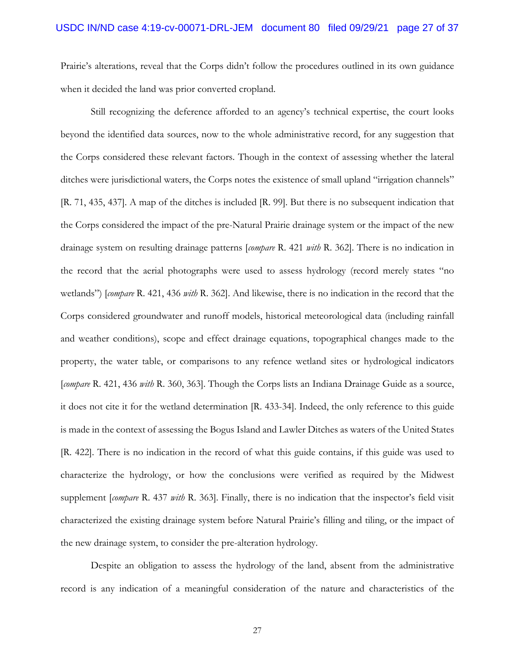Prairie's alterations, reveal that the Corps didn't follow the procedures outlined in its own guidance when it decided the land was prior converted cropland.

Still recognizing the deference afforded to an agency's technical expertise, the court looks beyond the identified data sources, now to the whole administrative record, for any suggestion that the Corps considered these relevant factors. Though in the context of assessing whether the lateral ditches were jurisdictional waters, the Corps notes the existence of small upland "irrigation channels" [R. 71, 435, 437]. A map of the ditches is included [R. 99]. But there is no subsequent indication that the Corps considered the impact of the pre-Natural Prairie drainage system or the impact of the new drainage system on resulting drainage patterns [*compare* R. 421 *with* R. 362]. There is no indication in the record that the aerial photographs were used to assess hydrology (record merely states "no wetlands") [*compare* R. 421, 436 *with* R. 362]. And likewise, there is no indication in the record that the Corps considered groundwater and runoff models, historical meteorological data (including rainfall and weather conditions), scope and effect drainage equations, topographical changes made to the property, the water table, or comparisons to any refence wetland sites or hydrological indicators [*compare* R. 421, 436 *with* R. 360, 363]. Though the Corps lists an Indiana Drainage Guide as a source, it does not cite it for the wetland determination [R. 433-34]. Indeed, the only reference to this guide is made in the context of assessing the Bogus Island and Lawler Ditches as waters of the United States [R. 422]. There is no indication in the record of what this guide contains, if this guide was used to characterize the hydrology, or how the conclusions were verified as required by the Midwest supplement [*compare* R. 437 *with* R. 363]. Finally, there is no indication that the inspector's field visit characterized the existing drainage system before Natural Prairie's filling and tiling, or the impact of the new drainage system, to consider the pre-alteration hydrology.

Despite an obligation to assess the hydrology of the land, absent from the administrative record is any indication of a meaningful consideration of the nature and characteristics of the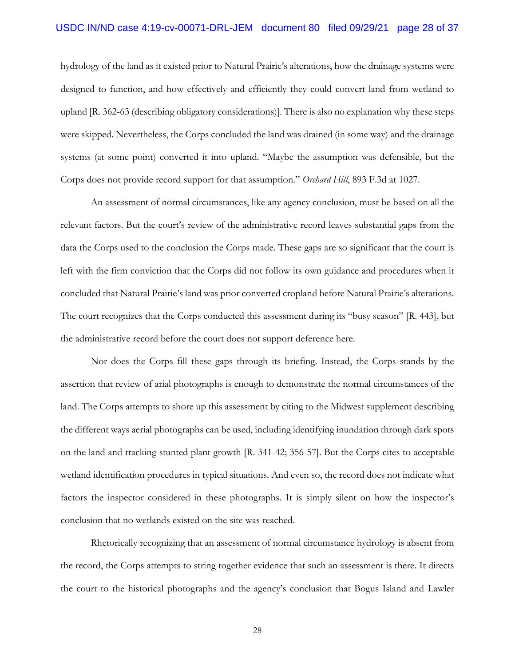### USDC IN/ND case 4:19-cv-00071-DRL-JEM document 80 filed 09/29/21 page 28 of 37

hydrology of the land as it existed prior to Natural Prairie's alterations, how the drainage systems were designed to function, and how effectively and efficiently they could convert land from wetland to upland [R. 362-63 (describing obligatory considerations)]. There is also no explanation why these steps were skipped. Nevertheless, the Corps concluded the land was drained (in some way) and the drainage systems (at some point) converted it into upland. "Maybe the assumption was defensible, but the Corps does not provide record support for that assumption." *Orchard Hill*, 893 F.3d at 1027.

An assessment of normal circumstances, like any agency conclusion, must be based on all the relevant factors. But the court's review of the administrative record leaves substantial gaps from the data the Corps used to the conclusion the Corps made. These gaps are so significant that the court is left with the firm conviction that the Corps did not follow its own guidance and procedures when it concluded that Natural Prairie's land was prior converted cropland before Natural Prairie's alterations. The court recognizes that the Corps conducted this assessment during its "busy season" [R. 443], but the administrative record before the court does not support deference here.

Nor does the Corps fill these gaps through its briefing. Instead, the Corps stands by the assertion that review of arial photographs is enough to demonstrate the normal circumstances of the land. The Corps attempts to shore up this assessment by citing to the Midwest supplement describing the different ways aerial photographs can be used, including identifying inundation through dark spots on the land and tracking stunted plant growth [R. 341-42; 356-57]. But the Corps cites to acceptable wetland identification procedures in typical situations. And even so, the record does not indicate what factors the inspector considered in these photographs. It is simply silent on how the inspector's conclusion that no wetlands existed on the site was reached.

Rhetorically recognizing that an assessment of normal circumstance hydrology is absent from the record, the Corps attempts to string together evidence that such an assessment is there. It directs the court to the historical photographs and the agency's conclusion that Bogus Island and Lawler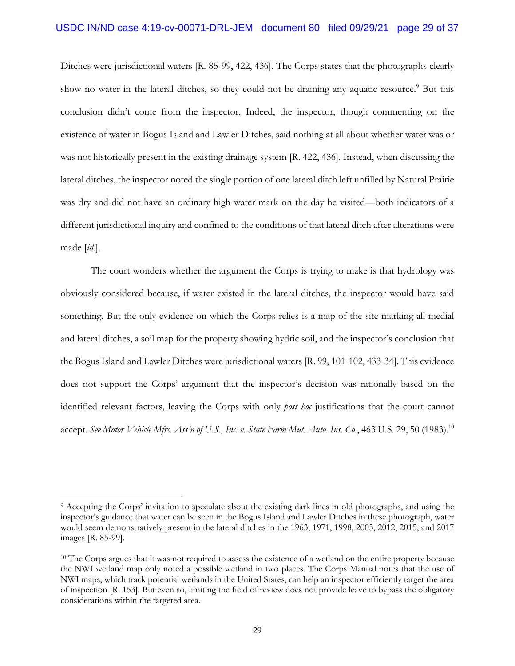Ditches were jurisdictional waters [R. 85-99, 422, 436]. The Corps states that the photographs clearly show no water in the lateral ditches, so they could not be draining any aquatic resource.<sup>9</sup> But this conclusion didn't come from the inspector. Indeed, the inspector, though commenting on the existence of water in Bogus Island and Lawler Ditches, said nothing at all about whether water was or was not historically present in the existing drainage system [R. 422, 436]. Instead, when discussing the lateral ditches, the inspector noted the single portion of one lateral ditch left unfilled by Natural Prairie was dry and did not have an ordinary high-water mark on the day he visited—both indicators of a different jurisdictional inquiry and confined to the conditions of that lateral ditch after alterations were made [*id.*].

The court wonders whether the argument the Corps is trying to make is that hydrology was obviously considered because, if water existed in the lateral ditches, the inspector would have said something. But the only evidence on which the Corps relies is a map of the site marking all medial and lateral ditches, a soil map for the property showing hydric soil, and the inspector's conclusion that the Bogus Island and Lawler Ditches were jurisdictional waters [R. 99, 101-102, 433-34]. This evidence does not support the Corps' argument that the inspector's decision was rationally based on the identified relevant factors, leaving the Corps with only *post hoc* justifications that the court cannot accept. *See Motor Vehicle Mfrs. Ass'n of U.S., Inc. v. State Farm Mut. Auto. Ins. Co*., 463 U.S. 29, 50 (1983).10

<sup>9</sup> Accepting the Corps' invitation to speculate about the existing dark lines in old photographs, and using the inspector's guidance that water can be seen in the Bogus Island and Lawler Ditches in these photograph, water would seem demonstratively present in the lateral ditches in the 1963, 1971, 1998, 2005, 2012, 2015, and 2017 images [R. 85-99].

<sup>&</sup>lt;sup>10</sup> The Corps argues that it was not required to assess the existence of a wetland on the entire property because the NWI wetland map only noted a possible wetland in two places. The Corps Manual notes that the use of NWI maps, which track potential wetlands in the United States, can help an inspector efficiently target the area of inspection [R. 153]. But even so, limiting the field of review does not provide leave to bypass the obligatory considerations within the targeted area.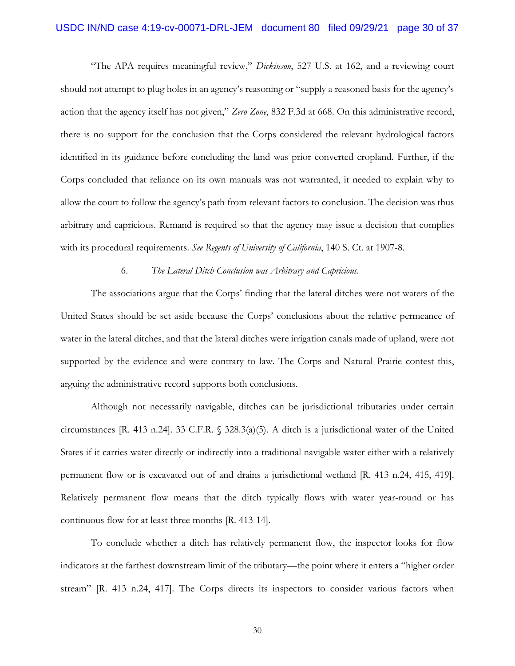# USDC IN/ND case 4:19-cv-00071-DRL-JEM document 80 filed 09/29/21 page 30 of 37

"The APA requires meaningful review," *Dickinson*, 527 U.S. at 162, and a reviewing court should not attempt to plug holes in an agency's reasoning or "supply a reasoned basis for the agency's action that the agency itself has not given," *Zero Zone*, 832 F.3d at 668. On this administrative record, there is no support for the conclusion that the Corps considered the relevant hydrological factors identified in its guidance before concluding the land was prior converted cropland. Further, if the Corps concluded that reliance on its own manuals was not warranted, it needed to explain why to allow the court to follow the agency's path from relevant factors to conclusion. The decision was thus arbitrary and capricious. Remand is required so that the agency may issue a decision that complies with its procedural requirements. *See Regents of University of California*, 140 S. Ct. at 1907-8.

#### 6. *The Lateral Ditch Conclusion was Arbitrary and Capricious.*

The associations argue that the Corps' finding that the lateral ditches were not waters of the United States should be set aside because the Corps' conclusions about the relative permeance of water in the lateral ditches, and that the lateral ditches were irrigation canals made of upland, were not supported by the evidence and were contrary to law. The Corps and Natural Prairie contest this, arguing the administrative record supports both conclusions.

Although not necessarily navigable, ditches can be jurisdictional tributaries under certain circumstances [R. 413 n.24]. 33 C.F.R. § 328.3(a)(5). A ditch is a jurisdictional water of the United States if it carries water directly or indirectly into a traditional navigable water either with a relatively permanent flow or is excavated out of and drains a jurisdictional wetland [R. 413 n.24, 415, 419]. Relatively permanent flow means that the ditch typically flows with water year-round or has continuous flow for at least three months [R. 413-14].

To conclude whether a ditch has relatively permanent flow, the inspector looks for flow indicators at the farthest downstream limit of the tributary—the point where it enters a "higher order stream" [R. 413 n.24, 417]. The Corps directs its inspectors to consider various factors when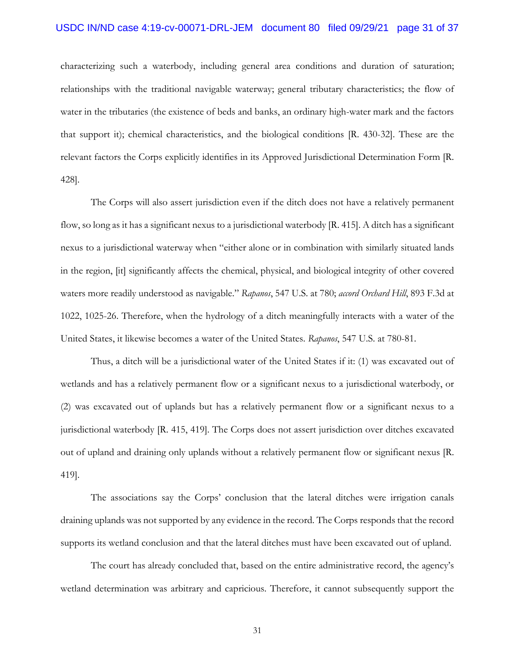# USDC IN/ND case 4:19-cv-00071-DRL-JEM document 80 filed 09/29/21 page 31 of 37

characterizing such a waterbody, including general area conditions and duration of saturation; relationships with the traditional navigable waterway; general tributary characteristics; the flow of water in the tributaries (the existence of beds and banks, an ordinary high-water mark and the factors that support it); chemical characteristics, and the biological conditions [R. 430-32]. These are the relevant factors the Corps explicitly identifies in its Approved Jurisdictional Determination Form [R. 428].

The Corps will also assert jurisdiction even if the ditch does not have a relatively permanent flow, so long as it has a significant nexus to a jurisdictional waterbody [R. 415]. A ditch has a significant nexus to a jurisdictional waterway when "either alone or in combination with similarly situated lands in the region, [it] significantly affects the chemical, physical, and biological integrity of other covered waters more readily understood as navigable." *Rapanos*, 547 U.S. at 780; *accord Orchard Hill*, 893 F.3d at 1022, 1025-26. Therefore, when the hydrology of a ditch meaningfully interacts with a water of the United States, it likewise becomes a water of the United States. *Rapanos*, 547 U.S. at 780-81.

Thus, a ditch will be a jurisdictional water of the United States if it: (1) was excavated out of wetlands and has a relatively permanent flow or a significant nexus to a jurisdictional waterbody, or (2) was excavated out of uplands but has a relatively permanent flow or a significant nexus to a jurisdictional waterbody [R. 415, 419]. The Corps does not assert jurisdiction over ditches excavated out of upland and draining only uplands without a relatively permanent flow or significant nexus [R. 419].

The associations say the Corps' conclusion that the lateral ditches were irrigation canals draining uplands was not supported by any evidence in the record. The Corps responds that the record supports its wetland conclusion and that the lateral ditches must have been excavated out of upland.

The court has already concluded that, based on the entire administrative record, the agency's wetland determination was arbitrary and capricious. Therefore, it cannot subsequently support the

31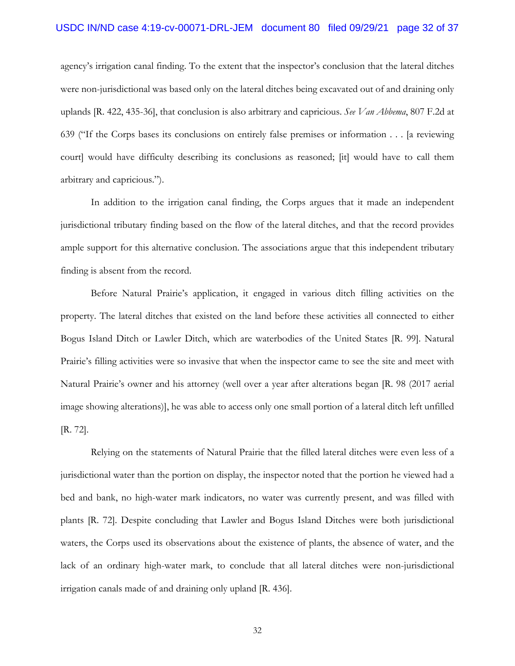### USDC IN/ND case 4:19-cv-00071-DRL-JEM document 80 filed 09/29/21 page 32 of 37

agency's irrigation canal finding. To the extent that the inspector's conclusion that the lateral ditches were non-jurisdictional was based only on the lateral ditches being excavated out of and draining only uplands [R. 422, 435-36], that conclusion is also arbitrary and capricious. *See Van Abbema*, 807 F.2d at 639 ("If the Corps bases its conclusions on entirely false premises or information . . . [a reviewing court] would have difficulty describing its conclusions as reasoned; [it] would have to call them arbitrary and capricious.").

In addition to the irrigation canal finding, the Corps argues that it made an independent jurisdictional tributary finding based on the flow of the lateral ditches, and that the record provides ample support for this alternative conclusion. The associations argue that this independent tributary finding is absent from the record.

Before Natural Prairie's application, it engaged in various ditch filling activities on the property. The lateral ditches that existed on the land before these activities all connected to either Bogus Island Ditch or Lawler Ditch, which are waterbodies of the United States [R. 99]. Natural Prairie's filling activities were so invasive that when the inspector came to see the site and meet with Natural Prairie's owner and his attorney (well over a year after alterations began [R. 98 (2017 aerial image showing alterations)], he was able to access only one small portion of a lateral ditch left unfilled [R. 72].

Relying on the statements of Natural Prairie that the filled lateral ditches were even less of a jurisdictional water than the portion on display, the inspector noted that the portion he viewed had a bed and bank, no high-water mark indicators, no water was currently present, and was filled with plants [R. 72]. Despite concluding that Lawler and Bogus Island Ditches were both jurisdictional waters, the Corps used its observations about the existence of plants, the absence of water, and the lack of an ordinary high-water mark, to conclude that all lateral ditches were non-jurisdictional irrigation canals made of and draining only upland [R. 436].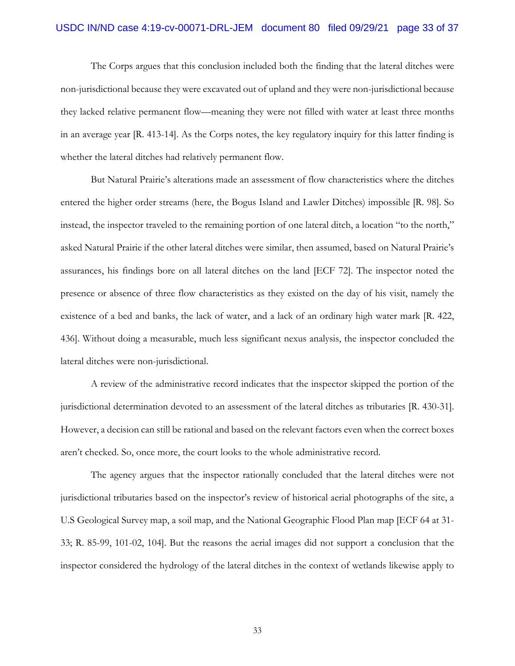## USDC IN/ND case 4:19-cv-00071-DRL-JEM document 80 filed 09/29/21 page 33 of 37

The Corps argues that this conclusion included both the finding that the lateral ditches were non-jurisdictional because they were excavated out of upland and they were non-jurisdictional because they lacked relative permanent flow—meaning they were not filled with water at least three months in an average year [R. 413-14]. As the Corps notes, the key regulatory inquiry for this latter finding is whether the lateral ditches had relatively permanent flow.

But Natural Prairie's alterations made an assessment of flow characteristics where the ditches entered the higher order streams (here, the Bogus Island and Lawler Ditches) impossible [R. 98]. So instead, the inspector traveled to the remaining portion of one lateral ditch, a location "to the north," asked Natural Prairie if the other lateral ditches were similar, then assumed, based on Natural Prairie's assurances, his findings bore on all lateral ditches on the land [ECF 72]. The inspector noted the presence or absence of three flow characteristics as they existed on the day of his visit, namely the existence of a bed and banks, the lack of water, and a lack of an ordinary high water mark [R. 422, 436]. Without doing a measurable, much less significant nexus analysis, the inspector concluded the lateral ditches were non-jurisdictional.

A review of the administrative record indicates that the inspector skipped the portion of the jurisdictional determination devoted to an assessment of the lateral ditches as tributaries [R. 430-31]. However, a decision can still be rational and based on the relevant factors even when the correct boxes aren't checked. So, once more, the court looks to the whole administrative record.

The agency argues that the inspector rationally concluded that the lateral ditches were not jurisdictional tributaries based on the inspector's review of historical aerial photographs of the site, a U.S Geological Survey map, a soil map, and the National Geographic Flood Plan map [ECF 64 at 31- 33; R. 85-99, 101-02, 104]. But the reasons the aerial images did not support a conclusion that the inspector considered the hydrology of the lateral ditches in the context of wetlands likewise apply to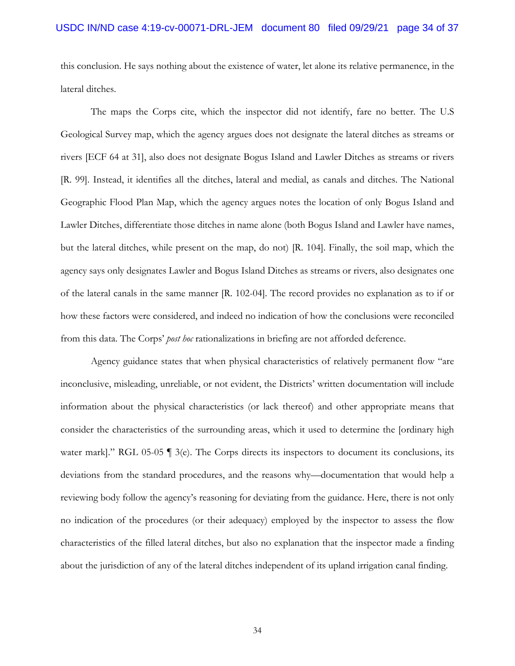this conclusion. He says nothing about the existence of water, let alone its relative permanence, in the lateral ditches.

The maps the Corps cite, which the inspector did not identify, fare no better. The U.S Geological Survey map, which the agency argues does not designate the lateral ditches as streams or rivers [ECF 64 at 31], also does not designate Bogus Island and Lawler Ditches as streams or rivers [R. 99]. Instead, it identifies all the ditches, lateral and medial, as canals and ditches. The National Geographic Flood Plan Map, which the agency argues notes the location of only Bogus Island and Lawler Ditches, differentiate those ditches in name alone (both Bogus Island and Lawler have names, but the lateral ditches, while present on the map, do not) [R. 104]. Finally, the soil map, which the agency says only designates Lawler and Bogus Island Ditches as streams or rivers, also designates one of the lateral canals in the same manner [R. 102-04]. The record provides no explanation as to if or how these factors were considered, and indeed no indication of how the conclusions were reconciled from this data. The Corps' *post hoc* rationalizations in briefing are not afforded deference.

Agency guidance states that when physical characteristics of relatively permanent flow "are inconclusive, misleading, unreliable, or not evident, the Districts' written documentation will include information about the physical characteristics (or lack thereof) and other appropriate means that consider the characteristics of the surrounding areas, which it used to determine the [ordinary high water mark]." RGL 05-05  $\parallel$  3(e). The Corps directs its inspectors to document its conclusions, its deviations from the standard procedures, and the reasons why—documentation that would help a reviewing body follow the agency's reasoning for deviating from the guidance. Here, there is not only no indication of the procedures (or their adequacy) employed by the inspector to assess the flow characteristics of the filled lateral ditches, but also no explanation that the inspector made a finding about the jurisdiction of any of the lateral ditches independent of its upland irrigation canal finding.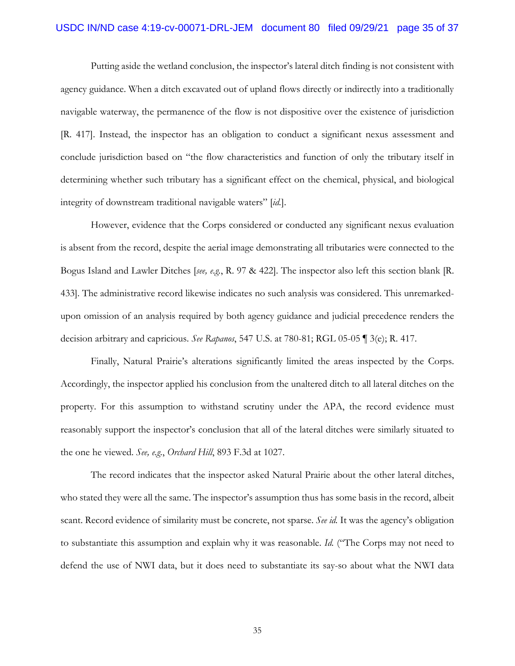### USDC IN/ND case 4:19-cv-00071-DRL-JEM document 80 filed 09/29/21 page 35 of 37

Putting aside the wetland conclusion, the inspector's lateral ditch finding is not consistent with agency guidance. When a ditch excavated out of upland flows directly or indirectly into a traditionally navigable waterway, the permanence of the flow is not dispositive over the existence of jurisdiction [R. 417]. Instead, the inspector has an obligation to conduct a significant nexus assessment and conclude jurisdiction based on "the flow characteristics and function of only the tributary itself in determining whether such tributary has a significant effect on the chemical, physical, and biological integrity of downstream traditional navigable waters" [*id.*].

However, evidence that the Corps considered or conducted any significant nexus evaluation is absent from the record, despite the aerial image demonstrating all tributaries were connected to the Bogus Island and Lawler Ditches [*see, e.g.*, R. 97 & 422]. The inspector also left this section blank [R. 433]. The administrative record likewise indicates no such analysis was considered. This unremarkedupon omission of an analysis required by both agency guidance and judicial precedence renders the decision arbitrary and capricious. *See Rapanos*, 547 U.S. at 780-81; RGL 05-05 ¶ 3(e); R. 417.

Finally, Natural Prairie's alterations significantly limited the areas inspected by the Corps. Accordingly, the inspector applied his conclusion from the unaltered ditch to all lateral ditches on the property. For this assumption to withstand scrutiny under the APA, the record evidence must reasonably support the inspector's conclusion that all of the lateral ditches were similarly situated to the one he viewed. *See, e.g.*, *Orchard Hill*, 893 F.3d at 1027.

The record indicates that the inspector asked Natural Prairie about the other lateral ditches, who stated they were all the same. The inspector's assumption thus has some basis in the record, albeit scant. Record evidence of similarity must be concrete, not sparse. *See id.* It was the agency's obligation to substantiate this assumption and explain why it was reasonable. *Id.* ("The Corps may not need to defend the use of NWI data, but it does need to substantiate its say-so about what the NWI data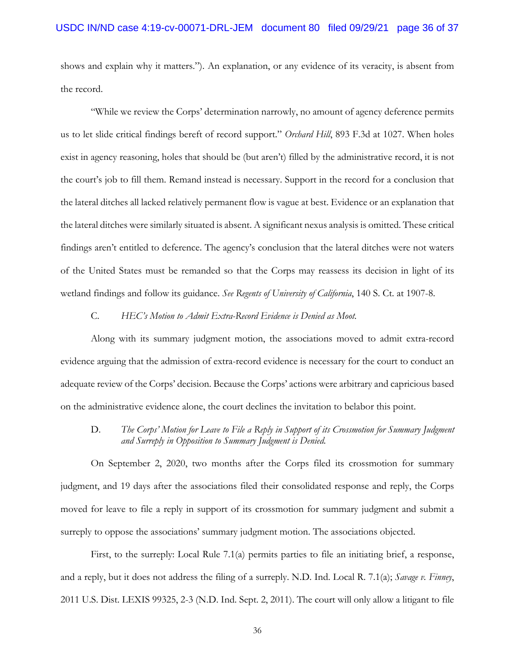shows and explain why it matters."). An explanation, or any evidence of its veracity, is absent from the record.

"While we review the Corps' determination narrowly, no amount of agency deference permits us to let slide critical findings bereft of record support." *Orchard Hill*, 893 F.3d at 1027. When holes exist in agency reasoning, holes that should be (but aren't) filled by the administrative record, it is not the court's job to fill them. Remand instead is necessary. Support in the record for a conclusion that the lateral ditches all lacked relatively permanent flow is vague at best. Evidence or an explanation that the lateral ditches were similarly situated is absent. A significant nexus analysis is omitted. These critical findings aren't entitled to deference. The agency's conclusion that the lateral ditches were not waters of the United States must be remanded so that the Corps may reassess its decision in light of its wetland findings and follow its guidance. *See Regents of University of California*, 140 S. Ct. at 1907-8.

#### C. *HEC's Motion to Admit Extra-Record Evidence is Denied as Moot.*

Along with its summary judgment motion, the associations moved to admit extra-record evidence arguing that the admission of extra-record evidence is necessary for the court to conduct an adequate review of the Corps' decision. Because the Corps' actions were arbitrary and capricious based on the administrative evidence alone, the court declines the invitation to belabor this point.

D. *The Corps' Motion for Leave to File a Reply in Support of its Crossmotion for Summary Judgment and Surreply in Opposition to Summary Judgment is Denied.* 

On September 2, 2020, two months after the Corps filed its crossmotion for summary judgment, and 19 days after the associations filed their consolidated response and reply, the Corps moved for leave to file a reply in support of its crossmotion for summary judgment and submit a surreply to oppose the associations' summary judgment motion. The associations objected.

First, to the surreply: Local Rule 7.1(a) permits parties to file an initiating brief, a response, and a reply, but it does not address the filing of a surreply. N.D. Ind. Local R. 7.1(a); *Savage v. Finney*, 2011 U.S. Dist. LEXIS 99325, 2-3 (N.D. Ind. Sept. 2, 2011). The court will only allow a litigant to file